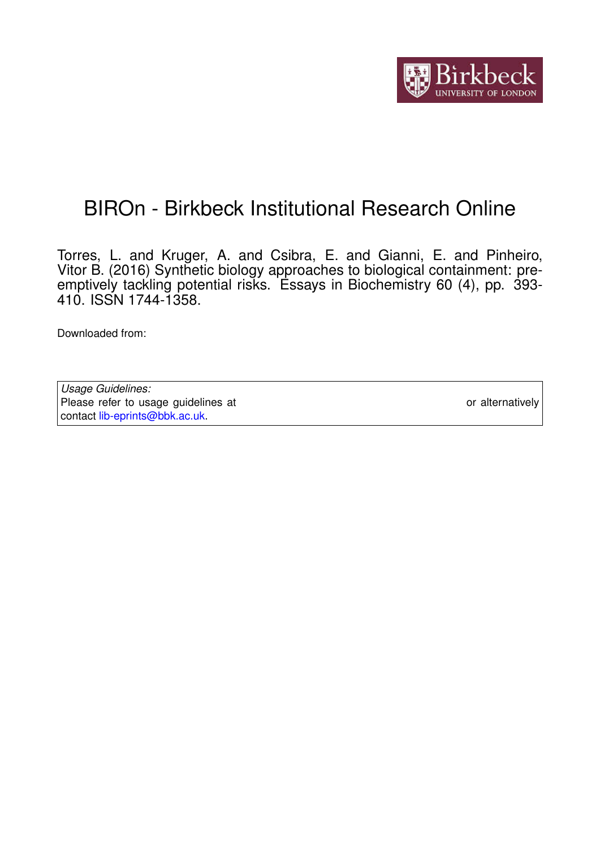

## BIROn - Birkbeck Institutional Research Online

Torres, L. and Kruger, A. and Csibra, E. and Gianni, E. and Pinheiro, Vitor B. (2016) Synthetic biology approaches to biological containment: preemptively tackling potential risks. Essays in Biochemistry 60 (4), pp. 393-410. ISSN 1744-1358.

Downloaded from: <https://eprints.bbk.ac.uk/id/eprint/17560/>

*Usage Guidelines:* Please refer to usage guidelines at <https://eprints.bbk.ac.uk/policies.html> or alternatively contact [lib-eprints@bbk.ac.uk.](mailto:lib-eprints@bbk.ac.uk)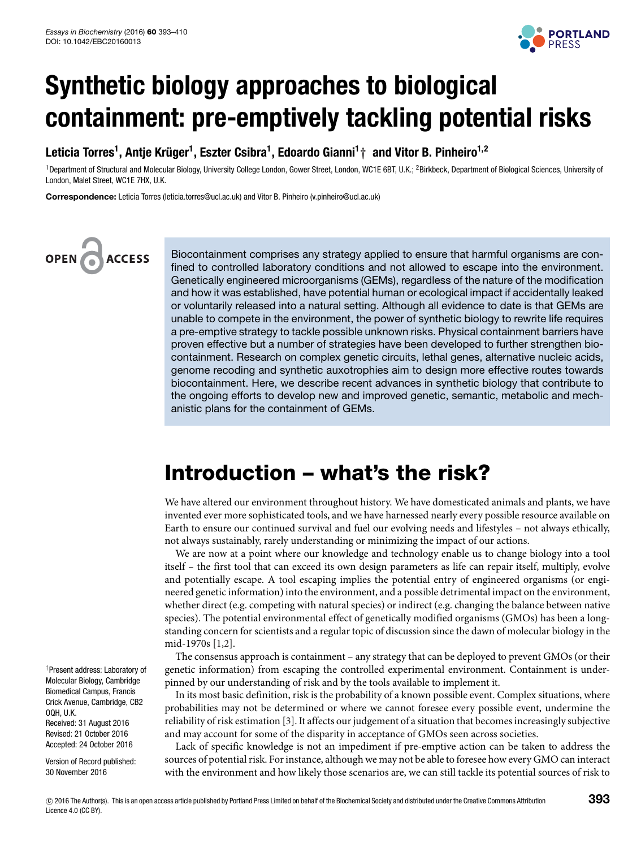

# **Synthetic biology approaches to biological containment: pre-emptively tackling potential risks**

#### Leticia Torres<sup>1</sup>, Antje Krüger<sup>1</sup>, Eszter Csibra<sup>1</sup>, Edoardo Gianni<sup>1</sup>† and Vitor B. Pinheiro<sup>1,2</sup>

<sup>1</sup> Department of Structural and Molecular Biology, University College London, Gower Street, London, WC1E 6BT, U.K.; <sup>2</sup> Birkbeck, Department of Biological Sciences, University of London, Malet Street, WC1E 7HX, U.K.

**Correspondence:** Leticia Torres [\(leticia.torres@ucl.ac.uk\)](mailto:leticia.torres@ucl.ac.uk)) and Vitor B. Pinheiro [\(v.pinheiro@ucl.ac.uk\)](mailto:v.pinheiro@ucl.ac.uk))



Biocontainment comprises any strategy applied to ensure that harmful organisms are confined to controlled laboratory conditions and not allowed to escape into the environment. Genetically engineered microorganisms (GEMs), regardless of the nature of the modification and how it was established, have potential human or ecological impact if accidentally leaked or voluntarily released into a natural setting. Although all evidence to date is that GEMs are unable to compete in the environment, the power of synthetic biology to rewrite life requires a pre-emptive strategy to tackle possible unknown risks. Physical containment barriers have proven effective but a number of strategies have been developed to further strengthen biocontainment. Research on complex genetic circuits, lethal genes, alternative nucleic acids, genome recoding and synthetic auxotrophies aim to design more effective routes towards biocontainment. Here, we describe recent advances in synthetic biology that contribute to the ongoing efforts to develop new and improved genetic, semantic, metabolic and mechanistic plans for the containment of GEMs.

### **Introduction – what's the risk?**

We have altered our environment throughout history. We have domesticated animals and plants, we have invented ever more sophisticated tools, and we have harnessed nearly every possible resource available on Earth to ensure our continued survival and fuel our evolving needs and lifestyles – not always ethically, not always sustainably, rarely understanding or minimizing the impact of our actions.

We are now at a point where our knowledge and technology enable us to change biology into a tool itself – the first tool that can exceed its own design parameters as life can repair itself, multiply, evolve and potentially escape. A tool escaping implies the potential entry of engineered organisms (or engineered genetic information) into the environment, and a possible detrimental impact on the environment, whether direct (e.g. competing with natural species) or indirect (e.g. changing the balance between native species). The potential environmental effect of genetically modified organisms (GMOs) has been a longstanding concern for scientists and a regular topic of discussion since the dawn of molecular biology in the mid-1970s [\[1](#page-14-0)[,2\]](#page-14-1).

The consensus approach is containment – any strategy that can be deployed to prevent GMOs (or their genetic information) from escaping the controlled experimental environment. Containment is underpinned by our understanding of risk and by the tools available to implement it.

In its most basic definition, risk is the probability of a known possible event. Complex situations, where probabilities may not be determined or where we cannot foresee every possible event, undermine the reliability of risk estimation [\[3\]](#page-14-2). It affects our judgement of a situation that becomes increasingly subjective and may account for some of the disparity in acceptance of GMOs seen across societies.

Lack of specific knowledge is not an impediment if pre-emptive action can be taken to address the sources of potential risk. For instance, although we may not be able to foresee how every GMO can interact with the environment and how likely those scenarios are, we can still tackle its potential sources of risk to

†Present address: Laboratory of Molecular Biology, Cambridge Biomedical Campus, Francis Crick Avenue, Cambridge, CB2 OQH, U.K. Received: 31 August 2016 Revised: 21 October 2016 Accepted: 24 October 2016

Version of Record published: 30 November 2016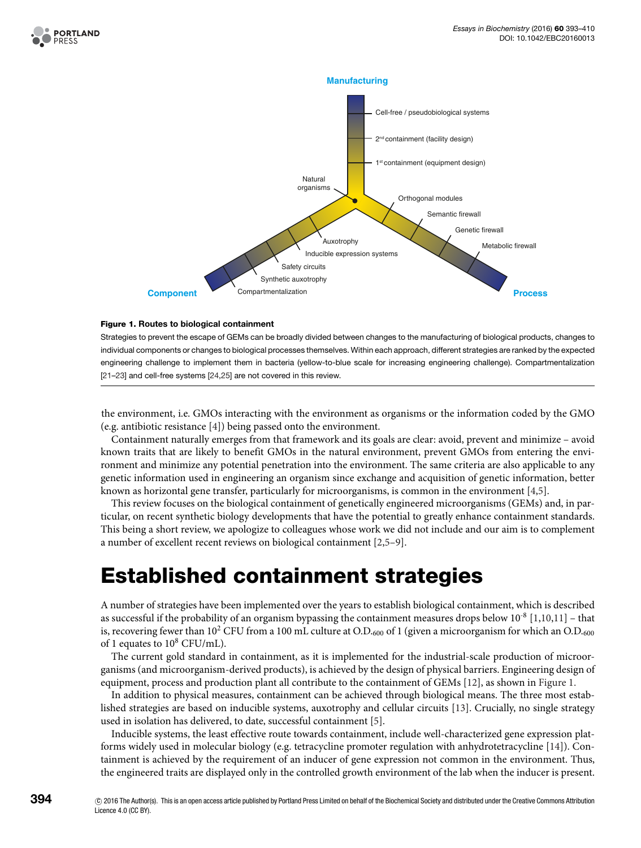

<span id="page-2-0"></span>

#### **Figure 1. Routes to biological containment**

Strategies to prevent the escape of GEMs can be broadly divided between changes to the manufacturing of biological products, changes to individual components or changes to biological processes themselves. Within each approach, different strategies are ranked by the expected engineering challenge to implement them in bacteria (yellow-to-blue scale for increasing engineering challenge). Compartmentalization [\[21–](#page-15-0)[23\]](#page-15-1) and cell-free systems [\[24](#page-15-2)[,25\]](#page-15-3) are not covered in this review.

the environment, i.e. GMOs interacting with the environment as organisms or the information coded by the GMO (e.g. antibiotic resistance [\[4\]](#page-14-3)) being passed onto the environment.

Containment naturally emerges from that framework and its goals are clear: avoid, prevent and minimize – avoid known traits that are likely to benefit GMOs in the natural environment, prevent GMOs from entering the environment and minimize any potential penetration into the environment. The same criteria are also applicable to any genetic information used in engineering an organism since exchange and acquisition of genetic information, better known as horizontal gene transfer, particularly for microorganisms, is common in the environment [\[4,](#page-14-3)[5\]](#page-14-4).

This review focuses on the biological containment of genetically engineered microorganisms (GEMs) and, in particular, on recent synthetic biology developments that have the potential to greatly enhance containment standards. This being a short review, we apologize to colleagues whose work we did not include and our aim is to complement a number of excellent recent reviews on biological containment [\[2,](#page-14-1)[5–](#page-14-4)[9\]](#page-14-5).

#### **Established containment strategies**

A number of strategies have been implemented over the years to establish biological containment, which is described as successful if the probability of an organism bypassing the containment measures drops below  $10^{-8}$  [\[1](#page-14-0)[,10,](#page-14-6)[11\]](#page-14-7) – that is, recovering fewer than  $10^2$  CFU from a 100 mL culture at O.D.<sub>600</sub> of 1 (given a microorganism for which an O.D.<sub>600</sub> of 1 equates to  $10^8$  CFU/mL).

The current gold standard in containment, as it is implemented for the industrial-scale production of microorganisms (and microorganism-derived products), is achieved by the design of physical barriers. Engineering design of equipment, process and production plant all contribute to the containment of GEMs [\[12\]](#page-14-8), as shown in [Figure 1.](#page-2-0)

In addition to physical measures, containment can be achieved through biological means. The three most established strategies are based on inducible systems, auxotrophy and cellular circuits [\[13\]](#page-15-4). Crucially, no single strategy used in isolation has delivered, to date, successful containment [\[5\]](#page-14-4).

Inducible systems, the least effective route towards containment, include well-characterized gene expression platforms widely used in molecular biology (e.g. tetracycline promoter regulation with anhydrotetracycline [\[14\]](#page-15-5)). Containment is achieved by the requirement of an inducer of gene expression not common in the environment. Thus, the engineered traits are displayed only in the controlled growth environment of the lab when the inducer is present.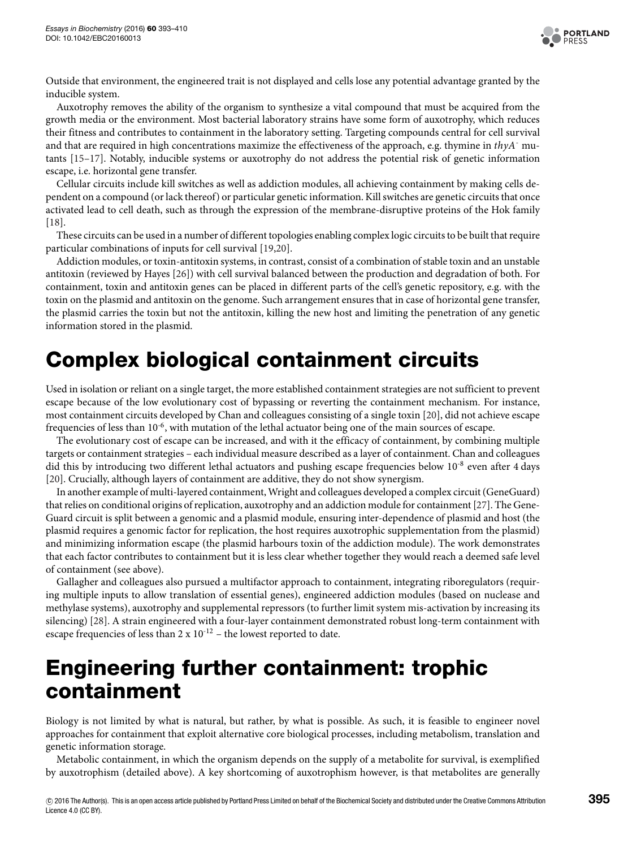

Outside that environment, the engineered trait is not displayed and cells lose any potential advantage granted by the inducible system.

Auxotrophy removes the ability of the organism to synthesize a vital compound that must be acquired from the growth media or the environment. Most bacterial laboratory strains have some form of auxotrophy, which reduces their fitness and contributes to containment in the laboratory setting. Targeting compounds central for cell survival and that are required in high concentrations maximize the effectiveness of the approach, e.g. thymine in *thyA*- mutants [\[15](#page-15-6)[–17\]](#page-15-7). Notably, inducible systems or auxotrophy do not address the potential risk of genetic information escape, i.e. horizontal gene transfer.

Cellular circuits include kill switches as well as addiction modules, all achieving containment by making cells dependent on a compound (or lack thereof) or particular genetic information. Kill switches are genetic circuits that once activated lead to cell death, such as through the expression of the membrane-disruptive proteins of the Hok family [\[18\]](#page-15-8).

These circuits can be used in a number of different topologies enabling complex logic circuits to be built that require particular combinations of inputs for cell survival [\[19,](#page-15-9)[20\]](#page-15-10).

Addiction modules, or toxin-antitoxin systems, in contrast, consist of a combination of stable toxin and an unstable antitoxin (reviewed by Hayes [\[26\]](#page-15-11)) with cell survival balanced between the production and degradation of both. For containment, toxin and antitoxin genes can be placed in different parts of the cell's genetic repository, e.g. with the toxin on the plasmid and antitoxin on the genome. Such arrangement ensures that in case of horizontal gene transfer, the plasmid carries the toxin but not the antitoxin, killing the new host and limiting the penetration of any genetic information stored in the plasmid.

### **Complex biological containment circuits**

Used in isolation or reliant on a single target, the more established containment strategies are not sufficient to prevent escape because of the low evolutionary cost of bypassing or reverting the containment mechanism. For instance, most containment circuits developed by Chan and colleagues consisting of a single toxin [\[20\]](#page-15-10), did not achieve escape frequencies of less than  $10^{-6}$ , with mutation of the lethal actuator being one of the main sources of escape.

The evolutionary cost of escape can be increased, and with it the efficacy of containment, by combining multiple targets or containment strategies – each individual measure described as a layer of containment. Chan and colleagues did this by introducing two different lethal actuators and pushing escape frequencies below 10<sup>-8</sup> even after 4 days [\[20\]](#page-15-10). Crucially, although layers of containment are additive, they do not show synergism.

In another example of multi-layered containment, Wright and colleagues developed a complex circuit (GeneGuard) that relies on conditional origins of replication, auxotrophy and an addiction module for containment [\[27\]](#page-15-12). The Gene-Guard circuit is split between a genomic and a plasmid module, ensuring inter-dependence of plasmid and host (the plasmid requires a genomic factor for replication, the host requires auxotrophic supplementation from the plasmid) and minimizing information escape (the plasmid harbours toxin of the addiction module). The work demonstrates that each factor contributes to containment but it is less clear whether together they would reach a deemed safe level of containment (see above).

Gallagher and colleagues also pursued a multifactor approach to containment, integrating riboregulators (requiring multiple inputs to allow translation of essential genes), engineered addiction modules (based on nuclease and methylase systems), auxotrophy and supplemental repressors (to further limit system mis-activation by increasing its silencing) [\[28\]](#page-15-13). A strain engineered with a four-layer containment demonstrated robust long-term containment with escape frequencies of less than  $2 \times 10^{-12}$  – the lowest reported to date.

#### **Engineering further containment: trophic containment**

Biology is not limited by what is natural, but rather, by what is possible. As such, it is feasible to engineer novel approaches for containment that exploit alternative core biological processes, including metabolism, translation and genetic information storage.

Metabolic containment, in which the organism depends on the supply of a metabolite for survival, is exemplified by auxotrophism (detailed above). A key shortcoming of auxotrophism however, is that metabolites are generally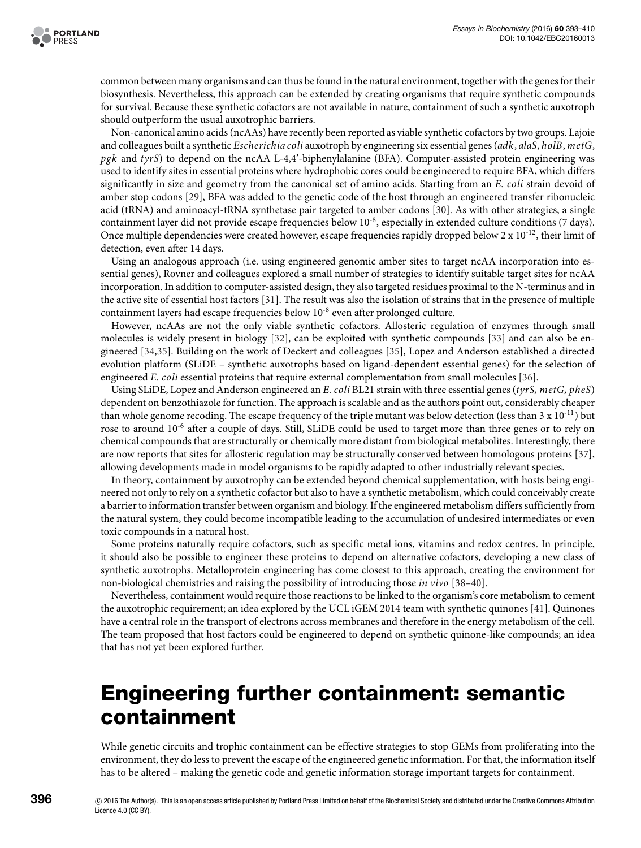

common between many organisms and can thus be found in the natural environment, together with the genes for their biosynthesis. Nevertheless, this approach can be extended by creating organisms that require synthetic compounds for survival. Because these synthetic cofactors are not available in nature, containment of such a synthetic auxotroph should outperform the usual auxotrophic barriers.

Non-canonical amino acids (ncAAs) have recently been reported as viable synthetic cofactors by two groups. Lajoie and colleagues built a synthetic *Escherichia coli* auxotroph by engineering six essential genes (*adk*, *alaS*, *holB*, *metG*, *pgk* and *tyrS*) to depend on the ncAA L-4,4'-biphenylalanine (BFA). Computer-assisted protein engineering was used to identify sites in essential proteins where hydrophobic cores could be engineered to require BFA, which differs significantly in size and geometry from the canonical set of amino acids. Starting from an *E. coli* strain devoid of amber stop codons [\[29\]](#page-15-14), BFA was added to the genetic code of the host through an engineered transfer ribonucleic acid (tRNA) and aminoacyl-tRNA synthetase pair targeted to amber codons [\[30\]](#page-15-15). As with other strategies, a single containment layer did not provide escape frequencies below 10-8, especially in extended culture conditions (7 days). Once multiple dependencies were created however, escape frequencies rapidly dropped below  $2 \times 10^{-12}$ , their limit of detection, even after 14 days.

Using an analogous approach (i.e. using engineered genomic amber sites to target ncAA incorporation into essential genes), Rovner and colleagues explored a small number of strategies to identify suitable target sites for ncAA incorporation. In addition to computer-assisted design, they also targeted residues proximal to the N-terminus and in the active site of essential host factors [\[31\]](#page-15-16). The result was also the isolation of strains that in the presence of multiple containment layers had escape frequencies below 10-8 even after prolonged culture.

However, ncAAs are not the only viable synthetic cofactors. Allosteric regulation of enzymes through small molecules is widely present in biology [\[32\]](#page-15-17), can be exploited with synthetic compounds [\[33\]](#page-15-18) and can also be engineered [\[34,](#page-15-19)[35\]](#page-15-20). Building on the work of Deckert and colleagues [\[35\]](#page-15-20), Lopez and Anderson established a directed evolution platform (SLiDE – synthetic auxotrophs based on ligand-dependent essential genes) for the selection of engineered *E. coli* essential proteins that require external complementation from small molecules [\[36\]](#page-15-21).

Using SLiDE, Lopez and Anderson engineered an *E. coli* BL21 strain with three essential genes (*tyrS, metG, pheS*) dependent on benzothiazole for function. The approach is scalable and as the authors point out, considerably cheaper than whole genome recoding. The escape frequency of the triple mutant was below detection (less than  $3 \times 10^{-11}$ ) but rose to around 10<sup>-6</sup> after a couple of days. Still, SLiDE could be used to target more than three genes or to rely on chemical compounds that are structurally or chemically more distant from biological metabolites. Interestingly, there are now reports that sites for allosteric regulation may be structurally conserved between homologous proteins [\[37\]](#page-15-22), allowing developments made in model organisms to be rapidly adapted to other industrially relevant species.

In theory, containment by auxotrophy can be extended beyond chemical supplementation, with hosts being engineered not only to rely on a synthetic cofactor but also to have a synthetic metabolism, which could conceivably create a barrier to information transfer between organism and biology. If the engineered metabolism differs sufficiently from the natural system, they could become incompatible leading to the accumulation of undesired intermediates or even toxic compounds in a natural host.

Some proteins naturally require cofactors, such as specific metal ions, vitamins and redox centres. In principle, it should also be possible to engineer these proteins to depend on alternative cofactors, developing a new class of synthetic auxotrophs. Metalloprotein engineering has come closest to this approach, creating the environment for non-biological chemistries and raising the possibility of introducing those *in vivo* [\[38–](#page-15-23)[40\]](#page-15-24).

Nevertheless, containment would require those reactions to be linked to the organism's core metabolism to cement the auxotrophic requirement; an idea explored by the UCL iGEM 2014 team with synthetic quinones [\[41\]](#page-15-25). Quinones have a central role in the transport of electrons across membranes and therefore in the energy metabolism of the cell. The team proposed that host factors could be engineered to depend on synthetic quinone-like compounds; an idea that has not yet been explored further.

### **Engineering further containment: semantic containment**

While genetic circuits and trophic containment can be effective strategies to stop GEMs from proliferating into the environment, they do less to prevent the escape of the engineered genetic information. For that, the information itself has to be altered – making the genetic code and genetic information storage important targets for containment.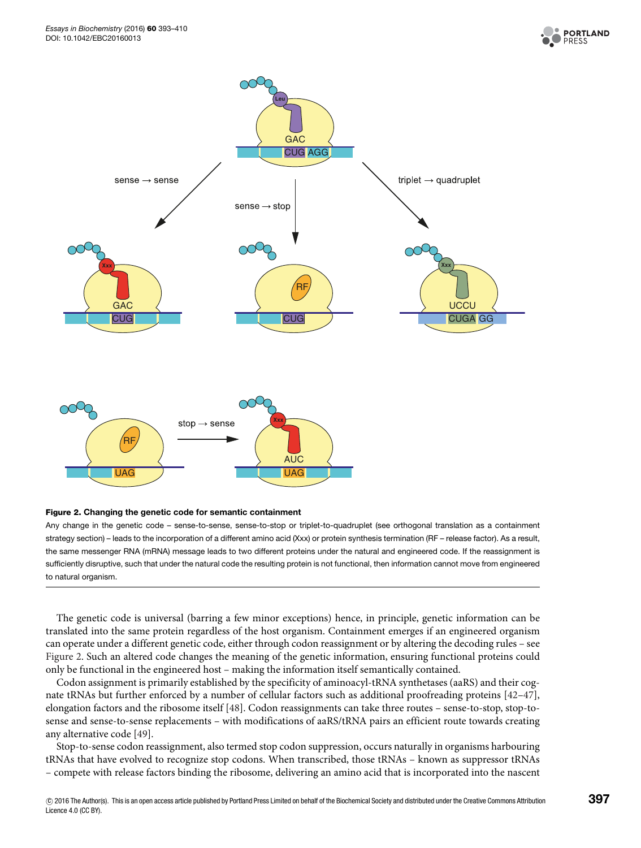

<span id="page-5-0"></span>

#### **Figure 2. Changing the genetic code for semantic containment**

Any change in the genetic code – sense-to-sense, sense-to-stop or triplet-to-quadruplet (see orthogonal translation as a containment strategy section) – leads to the incorporation of a different amino acid (Xxx) or protein synthesis termination (RF – release factor). As a result, the same messenger RNA (mRNA) message leads to two different proteins under the natural and engineered code. If the reassignment is sufficiently disruptive, such that under the natural code the resulting protein is not functional, then information cannot move from engineered to natural organism.

The genetic code is universal (barring a few minor exceptions) hence, in principle, genetic information can be translated into the same protein regardless of the host organism. Containment emerges if an engineered organism can operate under a different genetic code, either through codon reassignment or by altering the decoding rules – see [Figure 2.](#page-5-0) Such an altered code changes the meaning of the genetic information, ensuring functional proteins could only be functional in the engineered host – making the information itself semantically contained.

Codon assignment is primarily established by the specificity of aminoacyl-tRNA synthetases (aaRS) and their cognate tRNAs but further enforced by a number of cellular factors such as additional proofreading proteins [\[42](#page-15-26)[–47\]](#page-16-0), elongation factors and the ribosome itself [\[48\]](#page-16-1). Codon reassignments can take three routes – sense-to-stop, stop-tosense and sense-to-sense replacements – with modifications of aaRS/tRNA pairs an efficient route towards creating any alternative code [\[49\]](#page-16-2).

Stop-to-sense codon reassignment, also termed stop codon suppression, occurs naturally in organisms harbouring tRNAs that have evolved to recognize stop codons. When transcribed, those tRNAs – known as suppressor tRNAs – compete with release factors binding the ribosome, delivering an amino acid that is incorporated into the nascent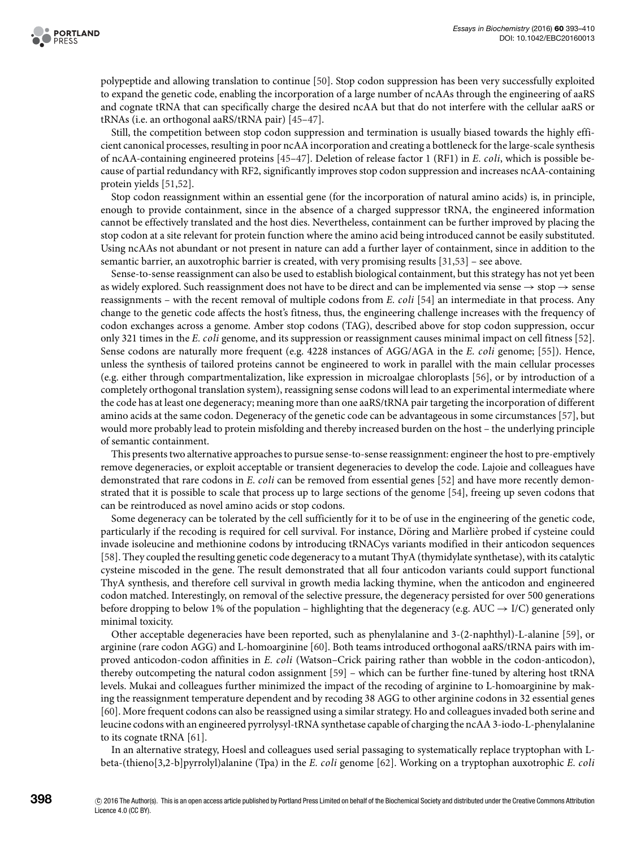

polypeptide and allowing translation to continue [\[50\]](#page-16-3). Stop codon suppression has been very successfully exploited to expand the genetic code, enabling the incorporation of a large number of ncAAs through the engineering of aaRS and cognate tRNA that can specifically charge the desired ncAA but that do not interfere with the cellular aaRS or tRNAs (i.e. an orthogonal aaRS/tRNA pair) [\[45–](#page-15-27)[47\]](#page-16-0).

Still, the competition between stop codon suppression and termination is usually biased towards the highly efficient canonical processes, resulting in poor ncAA incorporation and creating a bottleneck for the large-scale synthesis of ncAA-containing engineered proteins [\[45](#page-15-27)[–47\]](#page-16-0). Deletion of release factor 1 (RF1) in *E. coli*, which is possible because of partial redundancy with RF2, significantly improves stop codon suppression and increases ncAA-containing protein yields [\[51](#page-16-4)[,52\]](#page-16-5).

Stop codon reassignment within an essential gene (for the incorporation of natural amino acids) is, in principle, enough to provide containment, since in the absence of a charged suppressor tRNA, the engineered information cannot be effectively translated and the host dies. Nevertheless, containment can be further improved by placing the stop codon at a site relevant for protein function where the amino acid being introduced cannot be easily substituted. Using ncAAs not abundant or not present in nature can add a further layer of containment, since in addition to the semantic barrier, an auxotrophic barrier is created, with very promising results [\[31](#page-15-16)[,53\]](#page-16-6) – see above.

Sense-to-sense reassignment can also be used to establish biological containment, but this strategy has not yet been as widely explored. Such reassignment does not have to be direct and can be implemented via sense  $\rightarrow$  stop  $\rightarrow$  sense reassignments – with the recent removal of multiple codons from *E. coli* [\[54\]](#page-16-7) an intermediate in that process. Any change to the genetic code affects the host's fitness, thus, the engineering challenge increases with the frequency of codon exchanges across a genome. Amber stop codons (TAG), described above for stop codon suppression, occur only 321 times in the *E. coli* genome, and its suppression or reassignment causes minimal impact on cell fitness [\[52\]](#page-16-5). Sense codons are naturally more frequent (e.g. 4228 instances of AGG/AGA in the *E. coli* genome; [\[55\]](#page-16-8)). Hence, unless the synthesis of tailored proteins cannot be engineered to work in parallel with the main cellular processes (e.g. either through compartmentalization, like expression in microalgae chloroplasts [\[56\]](#page-16-9), or by introduction of a completely orthogonal translation system), reassigning sense codons will lead to an experimental intermediate where the code has at least one degeneracy; meaning more than one aaRS/tRNA pair targeting the incorporation of different amino acids at the same codon. Degeneracy of the genetic code can be advantageous in some circumstances [\[57\]](#page-16-10), but would more probably lead to protein misfolding and thereby increased burden on the host – the underlying principle of semantic containment.

This presents two alternative approaches to pursue sense-to-sense reassignment: engineer the host to pre-emptively remove degeneracies, or exploit acceptable or transient degeneracies to develop the code. Lajoie and colleagues have demonstrated that rare codons in *E. coli* can be removed from essential genes [\[52\]](#page-16-5) and have more recently demonstrated that it is possible to scale that process up to large sections of the genome [\[54\]](#page-16-7), freeing up seven codons that can be reintroduced as novel amino acids or stop codons.

Some degeneracy can be tolerated by the cell sufficiently for it to be of use in the engineering of the genetic code, particularly if the recoding is required for cell survival. For instance, Döring and Marlière probed if cysteine could invade isoleucine and methionine codons by introducing tRNACys variants modified in their anticodon sequences [\[58\]](#page-16-11). They coupled the resulting genetic code degeneracy to a mutant ThyA (thymidylate synthetase), with its catalytic cysteine miscoded in the gene. The result demonstrated that all four anticodon variants could support functional ThyA synthesis, and therefore cell survival in growth media lacking thymine, when the anticodon and engineered codon matched. Interestingly, on removal of the selective pressure, the degeneracy persisted for over 500 generations before dropping to below 1% of the population – highlighting that the degeneracy (e.g. AUC  $\rightarrow$  I/C) generated only minimal toxicity.

Other acceptable degeneracies have been reported, such as phenylalanine and 3-(2-naphthyl)-L-alanine [\[59\]](#page-16-12), or arginine (rare codon AGG) and L-homoarginine [\[60\]](#page-16-13). Both teams introduced orthogonal aaRS/tRNA pairs with improved anticodon-codon affinities in *E. coli* (Watson–Crick pairing rather than wobble in the codon-anticodon), thereby outcompeting the natural codon assignment [\[59\]](#page-16-12) – which can be further fine-tuned by altering host tRNA levels. Mukai and colleagues further minimized the impact of the recoding of arginine to L-homoarginine by making the reassignment temperature dependent and by recoding 38 AGG to other arginine codons in 32 essential genes [\[60\]](#page-16-13). More frequent codons can also be reassigned using a similar strategy. Ho and colleagues invaded both serine and leucine codons with an engineered pyrrolysyl-tRNA synthetase capable of charging the ncAA 3-iodo-L-phenylalanine to its cognate tRNA [\[61\]](#page-16-14).

In an alternative strategy, Hoesl and colleagues used serial passaging to systematically replace tryptophan with Lbeta-(thieno[3,2-b]pyrrolyl)alanine (Tpa) in the *E. coli* genome [\[62\]](#page-16-15). Working on a tryptophan auxotrophic *E. coli*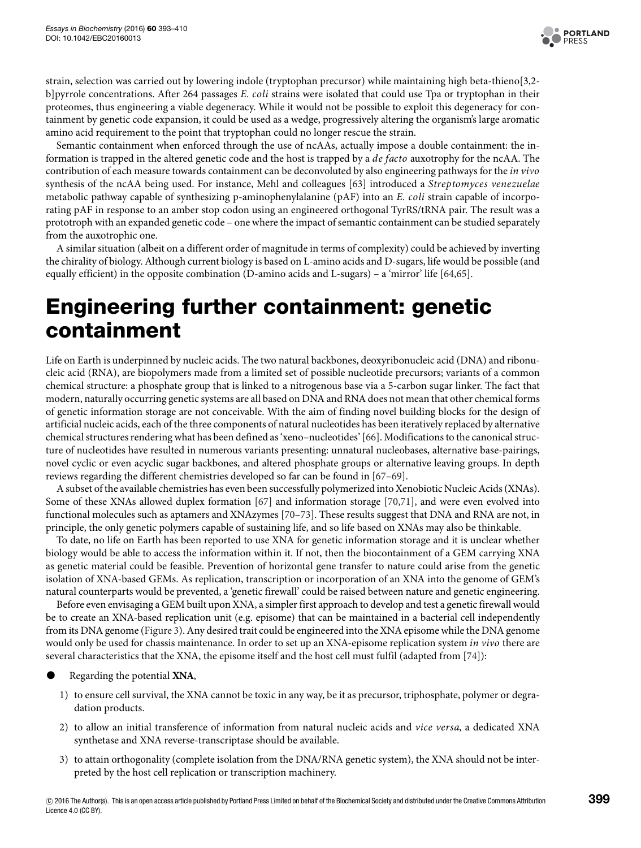

strain, selection was carried out by lowering indole (tryptophan precursor) while maintaining high beta-thieno[3,2 b]pyrrole concentrations. After 264 passages *E. coli* strains were isolated that could use Tpa or tryptophan in their proteomes, thus engineering a viable degeneracy. While it would not be possible to exploit this degeneracy for containment by genetic code expansion, it could be used as a wedge, progressively altering the organism's large aromatic amino acid requirement to the point that tryptophan could no longer rescue the strain.

Semantic containment when enforced through the use of ncAAs, actually impose a double containment: the information is trapped in the altered genetic code and the host is trapped by a *de facto* auxotrophy for the ncAA. The contribution of each measure towards containment can be deconvoluted by also engineering pathways for the *in vivo* synthesis of the ncAA being used. For instance, Mehl and colleagues [\[63\]](#page-16-16) introduced a *Streptomyces venezuelae* metabolic pathway capable of synthesizing p-aminophenylalanine (pAF) into an *E. coli* strain capable of incorporating pAF in response to an amber stop codon using an engineered orthogonal TyrRS/tRNA pair. The result was a prototroph with an expanded genetic code – one where the impact of semantic containment can be studied separately from the auxotrophic one.

A similar situation (albeit on a different order of magnitude in terms of complexity) could be achieved by inverting the chirality of biology. Although current biology is based on L-amino acids and D-sugars, life would be possible (and equally efficient) in the opposite combination (D-amino acids and L-sugars) – a 'mirror' life [\[64](#page-16-17)[,65\]](#page-16-18).

#### **Engineering further containment: genetic containment**

Life on Earth is underpinned by nucleic acids. The two natural backbones, deoxyribonucleic acid (DNA) and ribonucleic acid (RNA), are biopolymers made from a limited set of possible nucleotide precursors; variants of a common chemical structure: a phosphate group that is linked to a nitrogenous base via a 5-carbon sugar linker. The fact that modern, naturally occurring genetic systems are all based on DNA and RNA does not mean that other chemical forms of genetic information storage are not conceivable. With the aim of finding novel building blocks for the design of artificial nucleic acids, each of the three components of natural nucleotides has been iteratively replaced by alternative chemical structures rendering what has been defined as 'xeno–nucleotides' [\[66\]](#page-16-19). Modifications to the canonical structure of nucleotides have resulted in numerous variants presenting: unnatural nucleobases, alternative base-pairings, novel cyclic or even acyclic sugar backbones, and altered phosphate groups or alternative leaving groups. In depth reviews regarding the different chemistries developed so far can be found in [\[67–](#page-16-20)[69\]](#page-16-21).

A subset of the available chemistries has even been successfully polymerized into Xenobiotic Nucleic Acids (XNAs). Some of these XNAs allowed duplex formation [\[67\]](#page-16-20) and information storage [\[70](#page-16-22)[,71\]](#page-16-23), and were even evolved into functional molecules such as aptamers and XNAzymes [\[70](#page-16-22)[–73\]](#page-16-24). These results suggest that DNA and RNA are not, in principle, the only genetic polymers capable of sustaining life, and so life based on XNAs may also be thinkable.

To date, no life on Earth has been reported to use XNA for genetic information storage and it is unclear whether biology would be able to access the information within it. If not, then the biocontainment of a GEM carrying XNA as genetic material could be feasible. Prevention of horizontal gene transfer to nature could arise from the genetic isolation of XNA-based GEMs. As replication, transcription or incorporation of an XNA into the genome of GEM's natural counterparts would be prevented, a 'genetic firewall' could be raised between nature and genetic engineering.

Before even envisaging a GEM built upon XNA, a simpler first approach to develop and test a genetic firewall would be to create an XNA-based replication unit (e.g. episome) that can be maintained in a bacterial cell independently from its DNA genome [\(Figure 3\)](#page-8-0). Any desired trait could be engineered into the XNA episome while the DNA genome would only be used for chassis maintenance. In order to set up an XNA-episome replication system *in vivo* there are several characteristics that the XNA, the episome itself and the host cell must fulfil (adapted from [\[74\]](#page-16-25)):

- $\bullet$  Regarding the potential **XNA**,
	- 1) to ensure cell survival, the XNA cannot be toxic in any way, be it as precursor, triphosphate, polymer or degradation products.
	- 2) to allow an initial transference of information from natural nucleic acids and *vice versa*, a dedicated XNA synthetase and XNA reverse-transcriptase should be available.
	- 3) to attain orthogonality (complete isolation from the DNA/RNA genetic system), the XNA should not be interpreted by the host cell replication or transcription machinery.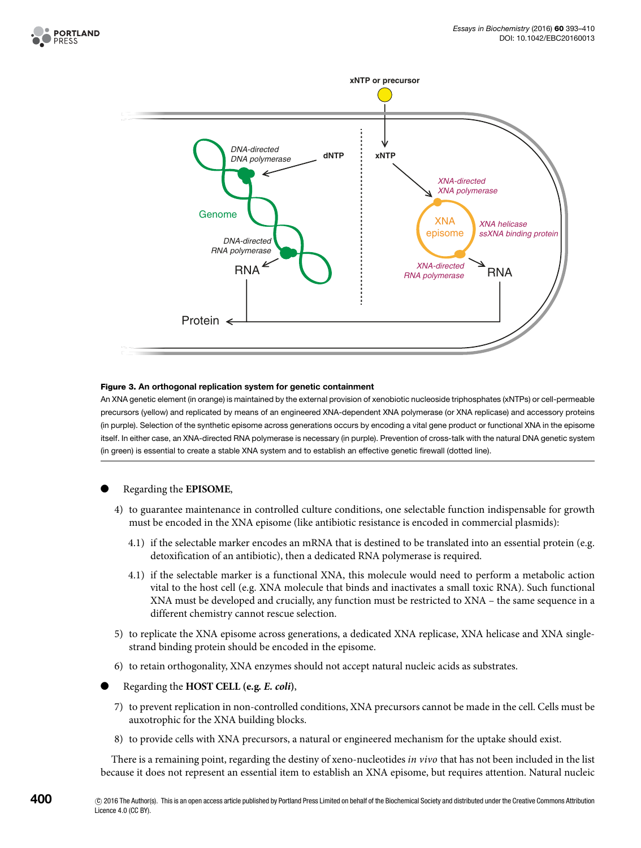



<span id="page-8-0"></span>

#### **Figure 3. An orthogonal replication system for genetic containment**

An XNA genetic element (in orange) is maintained by the external provision of xenobiotic nucleoside triphosphates (xNTPs) or cell-permeable precursors (yellow) and replicated by means of an engineered XNA-dependent XNA polymerase (or XNA replicase) and accessory proteins (in purple). Selection of the synthetic episome across generations occurs by encoding a vital gene product or functional XNA in the episome itself. In either case, an XNA-directed RNA polymerase is necessary (in purple). Prevention of cross-talk with the natural DNA genetic system (in green) is essential to create a stable XNA system and to establish an effective genetic firewall (dotted line).

#### $\bullet$ Regarding the **EPISOME**,

- 4) to guarantee maintenance in controlled culture conditions, one selectable function indispensable for growth must be encoded in the XNA episome (like antibiotic resistance is encoded in commercial plasmids):
	- 4.1) if the selectable marker encodes an mRNA that is destined to be translated into an essential protein (e.g. detoxification of an antibiotic), then a dedicated RNA polymerase is required.
	- 4.1) if the selectable marker is a functional XNA, this molecule would need to perform a metabolic action vital to the host cell (e.g. XNA molecule that binds and inactivates a small toxic RNA). Such functional XNA must be developed and crucially, any function must be restricted to XNA – the same sequence in a different chemistry cannot rescue selection.
- 5) to replicate the XNA episome across generations, a dedicated XNA replicase, XNA helicase and XNA singlestrand binding protein should be encoded in the episome.
- 6) to retain orthogonality, XNA enzymes should not accept natural nucleic acids as substrates.
- $\bullet$  Regarding the **HOST CELL (e.g.** *E. coli***)**,
	- 7) to prevent replication in non-controlled conditions, XNA precursors cannot be made in the cell. Cells must be auxotrophic for the XNA building blocks.
	- 8) to provide cells with XNA precursors, a natural or engineered mechanism for the uptake should exist.

There is a remaining point, regarding the destiny of xeno-nucleotides *in vivo* that has not been included in the list because it does not represent an essential item to establish an XNA episome, but requires attention. Natural nucleic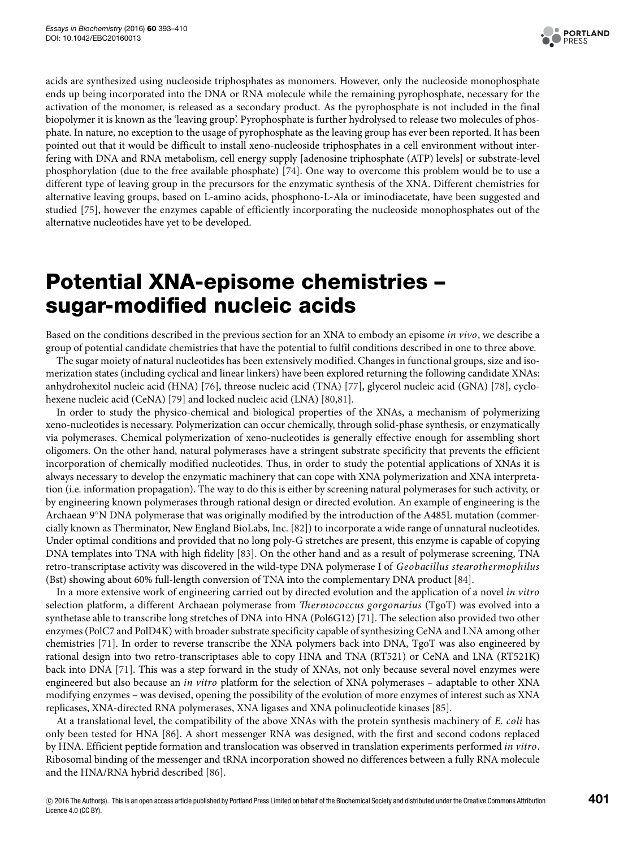

acids are synthesized using nucleoside triphosphates as monomers. However, only the nucleoside monophosphate ends up being incorporated into the DNA or RNA molecule while the remaining pyrophosphate, necessary for the activation of the monomer, is released as a secondary product. As the pyrophosphate is not included in the final biopolymer it is known as the 'leaving group'. Pyrophosphate is further hydrolysed to release two molecules of phosphate. In nature, no exception to the usage of pyrophosphate as the leaving group has ever been reported. It has been pointed out that it would be difficult to install xeno-nucleoside triphosphates in a cell environment without interfering with DNA and RNA metabolism, cell energy supply [adenosine triphosphate (ATP) levels] or substrate-level phosphorylation (due to the free available phosphate) [\[74\]](#page-16-25). One way to overcome this problem would be to use a different type of leaving group in the precursors for the enzymatic synthesis of the XNA. Different chemistries for alternative leaving groups, based on L-amino acids, phosphono-L-Ala or iminodiacetate, have been suggested and studied [\[75\]](#page-16-26), however the enzymes capable of efficiently incorporating the nucleoside monophosphates out of the alternative nucleotides have yet to be developed.

### **Potential XNA-episome chemistries – sugar-modified nucleic acids**

Based on the conditions described in the previous section for an XNA to embody an episome *in vivo*, we describe a group of potential candidate chemistries that have the potential to fulfil conditions described in one to three above.

The sugar moiety of natural nucleotides has been extensively modified. Changes in functional groups, size and isomerization states (including cyclical and linear linkers) have been explored returning the following candidate XNAs: anhydrohexitol nucleic acid (HNA) [\[76\]](#page-16-27), threose nucleic acid (TNA) [\[77\]](#page-16-28), glycerol nucleic acid (GNA) [\[78\]](#page-17-0), cyclohexene nucleic acid (CeNA) [\[79\]](#page-17-1) and locked nucleic acid (LNA) [\[80](#page-17-2)[,81\]](#page-17-3).

In order to study the physico-chemical and biological properties of the XNAs, a mechanism of polymerizing xeno-nucleotides is necessary. Polymerization can occur chemically, through solid-phase synthesis, or enzymatically via polymerases. Chemical polymerization of xeno-nucleotides is generally effective enough for assembling short oligomers. On the other hand, natural polymerases have a stringent substrate specificity that prevents the efficient incorporation of chemically modified nucleotides. Thus, in order to study the potential applications of XNAs it is always necessary to develop the enzymatic machinery that can cope with XNA polymerization and XNA interpretation (i.e. information propagation). The way to do this is either by screening natural polymerases for such activity, or by engineering known polymerases through rational design or directed evolution. An example of engineering is the Archaean 9◦N DNA polymerase that was originally modified by the introduction of the A485L mutation (commercially known as Therminator, New England BioLabs, Inc. [\[82\]](#page-17-4)) to incorporate a wide range of unnatural nucleotides. Under optimal conditions and provided that no long poly-G stretches are present, this enzyme is capable of copying DNA templates into TNA with high fidelity [\[83\]](#page-17-5). On the other hand and as a result of polymerase screening, TNA retro-transcriptase activity was discovered in the wild-type DNA polymerase I of *Geobacillus stearothermophilus* (Bst) showing about 60% full-length conversion of TNA into the complementary DNA product [\[84\]](#page-17-6).

In a more extensive work of engineering carried out by directed evolution and the application of a novel *in vitro* selection platform, a different Archaean polymerase from *Thermococcus gorgonarius* (TgoT) was evolved into a synthetase able to transcribe long stretches of DNA into HNA (Pol6G12) [\[71\]](#page-16-23). The selection also provided two other enzymes (PolC7 and PolD4K) with broader substrate specificity capable of synthesizing CeNA and LNA among other chemistries [\[71\]](#page-16-23). In order to reverse transcribe the XNA polymers back into DNA, TgoT was also engineered by rational design into two retro-transcriptases able to copy HNA and TNA (RT521) or CeNA and LNA (RT521K) back into DNA [\[71\]](#page-16-23). This was a step forward in the study of XNAs, not only because several novel enzymes were engineered but also because an *in vitro* platform for the selection of XNA polymerases – adaptable to other XNA modifying enzymes – was devised, opening the possibility of the evolution of more enzymes of interest such as XNA replicases, XNA-directed RNA polymerases, XNA ligases and XNA polinucleotide kinases [\[85\]](#page-17-7).

At a translational level, the compatibility of the above XNAs with the protein synthesis machinery of *E. coli* has only been tested for HNA [\[86\]](#page-17-8). A short messenger RNA was designed, with the first and second codons replaced by HNA. Efficient peptide formation and translocation was observed in translation experiments performed *in vitro*. Ribosomal binding of the messenger and tRNA incorporation showed no differences between a fully RNA molecule and the HNA/RNA hybrid described [\[86\]](#page-17-8).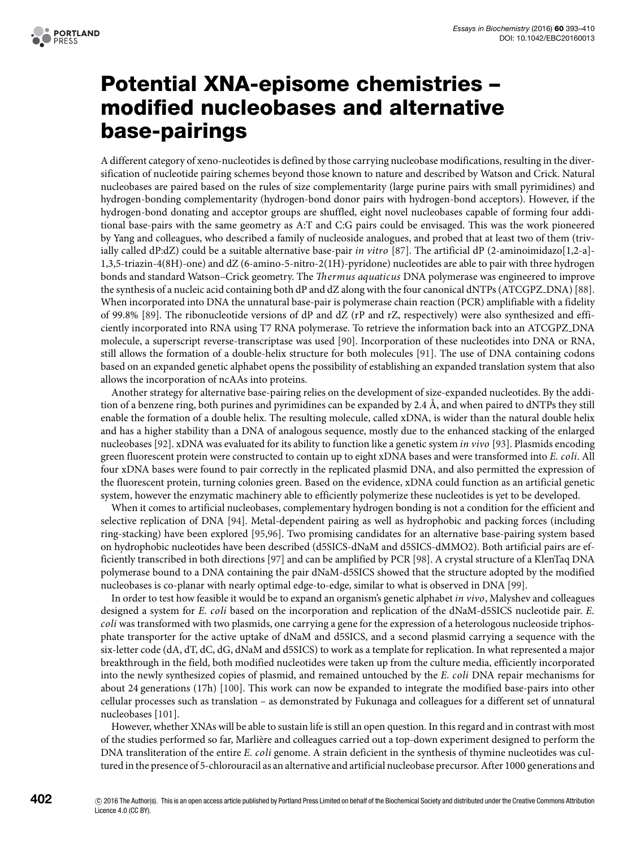

### **Potential XNA-episome chemistries – modified nucleobases and alternative base-pairings**

A different category of xeno-nucleotides is defined by those carrying nucleobase modifications, resulting in the diversification of nucleotide pairing schemes beyond those known to nature and described by Watson and Crick. Natural nucleobases are paired based on the rules of size complementarity (large purine pairs with small pyrimidines) and hydrogen-bonding complementarity (hydrogen-bond donor pairs with hydrogen-bond acceptors). However, if the hydrogen-bond donating and acceptor groups are shuffled, eight novel nucleobases capable of forming four additional base-pairs with the same geometry as A:T and C:G pairs could be envisaged. This was the work pioneered by Yang and colleagues, who described a family of nucleoside analogues, and probed that at least two of them (trivially called dP:dZ) could be a suitable alternative base-pair *in vitro* [\[87\]](#page-17-9). The artificial dP (2-aminoimidazo[1,2-a]- 1,3,5-triazin-4(8H)-one) and dZ (6-amino-5-nitro-2(1H)-pyridone) nucleotides are able to pair with three hydrogen bonds and standard Watson–Crick geometry. The *Thermus aquaticus* DNA polymerase was engineered to improve the synthesis of a nucleic acid containing both dP and dZ along with the four canonical dNTPs (ATCGPZ DNA) [\[88\]](#page-17-10). When incorporated into DNA the unnatural base-pair is polymerase chain reaction (PCR) amplifiable with a fidelity of 99.8% [\[89\]](#page-17-11). The ribonucleotide versions of dP and dZ (rP and rZ, respectively) were also synthesized and efficiently incorporated into RNA using T7 RNA polymerase. To retrieve the information back into an ATCGPZ DNA molecule, a superscript reverse-transcriptase was used [\[90\]](#page-17-12). Incorporation of these nucleotides into DNA or RNA, still allows the formation of a double-helix structure for both molecules [\[91\]](#page-17-13). The use of DNA containing codons based on an expanded genetic alphabet opens the possibility of establishing an expanded translation system that also allows the incorporation of ncAAs into proteins.

Another strategy for alternative base-pairing relies on the development of size-expanded nucleotides. By the addition of a benzene ring, both purines and pyrimidines can be expanded by 2.4  $\AA$ , and when paired to dNTPs they still enable the formation of a double helix. The resulting molecule, called xDNA, is wider than the natural double helix and has a higher stability than a DNA of analogous sequence, mostly due to the enhanced stacking of the enlarged nucleobases [\[92\]](#page-17-14). xDNA was evaluated for its ability to function like a genetic system *in vivo* [\[93\]](#page-17-15). Plasmids encoding green fluorescent protein were constructed to contain up to eight xDNA bases and were transformed into *E. coli*. All four xDNA bases were found to pair correctly in the replicated plasmid DNA, and also permitted the expression of the fluorescent protein, turning colonies green. Based on the evidence, xDNA could function as an artificial genetic system, however the enzymatic machinery able to efficiently polymerize these nucleotides is yet to be developed.

When it comes to artificial nucleobases, complementary hydrogen bonding is not a condition for the efficient and selective replication of DNA [\[94\]](#page-17-16). Metal-dependent pairing as well as hydrophobic and packing forces (including ring-stacking) have been explored [\[95](#page-17-17)[,96\]](#page-17-18). Two promising candidates for an alternative base-pairing system based on hydrophobic nucleotides have been described (d5SICS-dNaM and d5SICS-dMMO2). Both artificial pairs are efficiently transcribed in both directions [\[97\]](#page-17-19) and can be amplified by PCR [\[98\]](#page-17-20). A crystal structure of a KlenTaq DNA polymerase bound to a DNA containing the pair dNaM-d5SICS showed that the structure adopted by the modified nucleobases is co-planar with nearly optimal edge-to-edge, similar to what is observed in DNA [\[99\]](#page-17-21).

In order to test how feasible it would be to expand an organism's genetic alphabet *in vivo*, Malyshev and colleagues designed a system for *E. coli* based on the incorporation and replication of the dNaM-d5SICS nucleotide pair. *E. coli* was transformed with two plasmids, one carrying a gene for the expression of a heterologous nucleoside triphosphate transporter for the active uptake of dNaM and d5SICS, and a second plasmid carrying a sequence with the six-letter code (dA, dT, dC, dG, dNaM and d5SICS) to work as a template for replication. In what represented a major breakthrough in the field, both modified nucleotides were taken up from the culture media, efficiently incorporated into the newly synthesized copies of plasmid, and remained untouched by the *E. coli* DNA repair mechanisms for about 24 generations (17h) [\[100\]](#page-17-22). This work can now be expanded to integrate the modified base-pairs into other cellular processes such as translation – as demonstrated by Fukunaga and colleagues for a different set of unnatural nucleobases [\[101\]](#page-17-23).

However, whether XNAs will be able to sustain life is still an open question. In this regard and in contrast with most of the studies performed so far, Marliere and colleagues carried out a top-down experiment designed to perform the ` DNA transliteration of the entire *E. coli* genome. A strain deficient in the synthesis of thymine nucleotides was cultured in the presence of 5-chlorouracil as an alternative and artificial nucleobase precursor. After 1000 generations and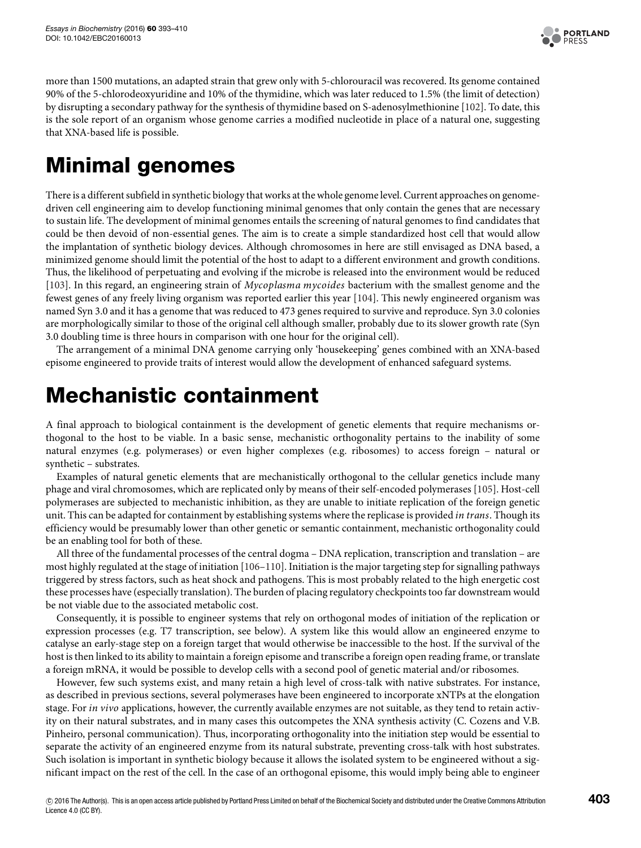

more than 1500 mutations, an adapted strain that grew only with 5-chlorouracil was recovered. Its genome contained 90% of the 5-chlorodeoxyuridine and 10% of the thymidine, which was later reduced to 1.5% (the limit of detection) by disrupting a secondary pathway for the synthesis of thymidine based on S-adenosylmethionine [\[102\]](#page-17-24). To date, this is the sole report of an organism whose genome carries a modified nucleotide in place of a natural one, suggesting that XNA-based life is possible.

### **Minimal genomes**

There is a different subfield in synthetic biology that works at the whole genome level. Current approaches on genomedriven cell engineering aim to develop functioning minimal genomes that only contain the genes that are necessary to sustain life. The development of minimal genomes entails the screening of natural genomes to find candidates that could be then devoid of non-essential genes. The aim is to create a simple standardized host cell that would allow the implantation of synthetic biology devices. Although chromosomes in here are still envisaged as DNA based, a minimized genome should limit the potential of the host to adapt to a different environment and growth conditions. Thus, the likelihood of perpetuating and evolving if the microbe is released into the environment would be reduced [\[103\]](#page-17-25). In this regard, an engineering strain of *Mycoplasma mycoides* bacterium with the smallest genome and the fewest genes of any freely living organism was reported earlier this year [\[104\]](#page-17-26). This newly engineered organism was named Syn 3.0 and it has a genome that was reduced to 473 genes required to survive and reproduce. Syn 3.0 colonies are morphologically similar to those of the original cell although smaller, probably due to its slower growth rate (Syn 3.0 doubling time is three hours in comparison with one hour for the original cell).

The arrangement of a minimal DNA genome carrying only 'housekeeping' genes combined with an XNA-based episome engineered to provide traits of interest would allow the development of enhanced safeguard systems.

#### **Mechanistic containment**

A final approach to biological containment is the development of genetic elements that require mechanisms orthogonal to the host to be viable. In a basic sense, mechanistic orthogonality pertains to the inability of some natural enzymes (e.g. polymerases) or even higher complexes (e.g. ribosomes) to access foreign – natural or synthetic – substrates.

Examples of natural genetic elements that are mechanistically orthogonal to the cellular genetics include many phage and viral chromosomes, which are replicated only by means of their self-encoded polymerases [\[105\]](#page-17-27). Host-cell polymerases are subjected to mechanistic inhibition, as they are unable to initiate replication of the foreign genetic unit. This can be adapted for containment by establishing systems where the replicase is provided *in trans*. Though its efficiency would be presumably lower than other genetic or semantic containment, mechanistic orthogonality could be an enabling tool for both of these.

All three of the fundamental processes of the central dogma – DNA replication, transcription and translation – are most highly regulated at the stage of initiation [\[106–](#page-17-28)[110\]](#page-17-29). Initiation is the major targeting step for signalling pathways triggered by stress factors, such as heat shock and pathogens. This is most probably related to the high energetic cost these processes have (especially translation). The burden of placing regulatory checkpoints too far downstream would be not viable due to the associated metabolic cost.

Consequently, it is possible to engineer systems that rely on orthogonal modes of initiation of the replication or expression processes (e.g. T7 transcription, see below). A system like this would allow an engineered enzyme to catalyse an early-stage step on a foreign target that would otherwise be inaccessible to the host. If the survival of the host is then linked to its ability to maintain a foreign episome and transcribe a foreign open reading frame, or translate a foreign mRNA, it would be possible to develop cells with a second pool of genetic material and/or ribosomes.

However, few such systems exist, and many retain a high level of cross-talk with native substrates. For instance, as described in previous sections, several polymerases have been engineered to incorporate xNTPs at the elongation stage. For *in vivo* applications, however, the currently available enzymes are not suitable, as they tend to retain activity on their natural substrates, and in many cases this outcompetes the XNA synthesis activity (C. Cozens and V.B. Pinheiro, personal communication). Thus, incorporating orthogonality into the initiation step would be essential to separate the activity of an engineered enzyme from its natural substrate, preventing cross-talk with host substrates. Such isolation is important in synthetic biology because it allows the isolated system to be engineered without a significant impact on the rest of the cell. In the case of an orthogonal episome, this would imply being able to engineer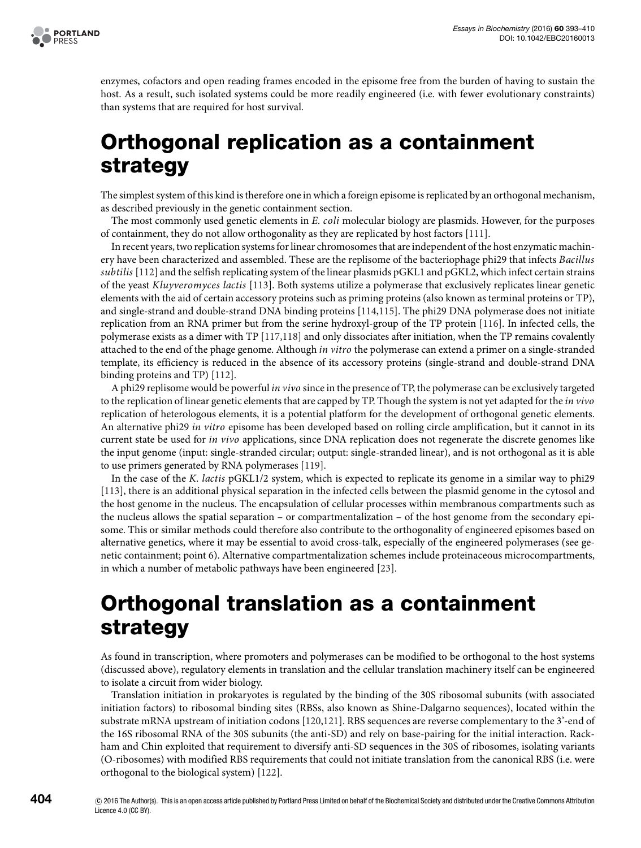

enzymes, cofactors and open reading frames encoded in the episome free from the burden of having to sustain the host. As a result, such isolated systems could be more readily engineered (i.e. with fewer evolutionary constraints) than systems that are required for host survival.

### **Orthogonal replication as a containment strategy**

The simplest system of this kind is therefore one in which a foreign episome is replicated by an orthogonal mechanism, as described previously in the genetic containment section.

The most commonly used genetic elements in *E. coli* molecular biology are plasmids. However, for the purposes of containment, they do not allow orthogonality as they are replicated by host factors [\[111\]](#page-18-0).

In recent years, two replication systems for linear chromosomes that are independent of the host enzymatic machinery have been characterized and assembled. These are the replisome of the bacteriophage phi29 that infects *Bacillus subtilis* [\[112\]](#page-18-1) and the selfish replicating system of the linear plasmids pGKL1 and pGKL2, which infect certain strains of the yeast *Kluyveromyces lactis* [\[113\]](#page-18-2). Both systems utilize a polymerase that exclusively replicates linear genetic elements with the aid of certain accessory proteins such as priming proteins (also known as terminal proteins or TP), and single-strand and double-strand DNA binding proteins [\[114,](#page-18-3)[115\]](#page-18-4). The phi29 DNA polymerase does not initiate replication from an RNA primer but from the serine hydroxyl-group of the TP protein [\[116\]](#page-18-5). In infected cells, the polymerase exists as a dimer with TP [\[117](#page-18-6)[,118\]](#page-18-7) and only dissociates after initiation, when the TP remains covalently attached to the end of the phage genome. Although *in vitro* the polymerase can extend a primer on a single-stranded template, its efficiency is reduced in the absence of its accessory proteins (single-strand and double-strand DNA binding proteins and TP) [\[112\]](#page-18-1).

A phi29 replisome would be powerful *in vivo* since in the presence of TP, the polymerase can be exclusively targeted to the replication of linear genetic elements that are capped by TP. Though the system is not yet adapted for the *in vivo* replication of heterologous elements, it is a potential platform for the development of orthogonal genetic elements. An alternative phi29 *in vitro* episome has been developed based on rolling circle amplification, but it cannot in its current state be used for *in vivo* applications, since DNA replication does not regenerate the discrete genomes like the input genome (input: single-stranded circular; output: single-stranded linear), and is not orthogonal as it is able to use primers generated by RNA polymerases [\[119\]](#page-18-8).

In the case of the *K. lactis* pGKL1/2 system, which is expected to replicate its genome in a similar way to phi29 [\[113\]](#page-18-2), there is an additional physical separation in the infected cells between the plasmid genome in the cytosol and the host genome in the nucleus. The encapsulation of cellular processes within membranous compartments such as the nucleus allows the spatial separation – or compartmentalization – of the host genome from the secondary episome. This or similar methods could therefore also contribute to the orthogonality of engineered episomes based on alternative genetics, where it may be essential to avoid cross-talk, especially of the engineered polymerases (see genetic containment; point 6). Alternative compartmentalization schemes include proteinaceous microcompartments, in which a number of metabolic pathways have been engineered [\[23\]](#page-15-1).

### **Orthogonal translation as a containment strategy**

As found in transcription, where promoters and polymerases can be modified to be orthogonal to the host systems (discussed above), regulatory elements in translation and the cellular translation machinery itself can be engineered to isolate a circuit from wider biology.

Translation initiation in prokaryotes is regulated by the binding of the 30S ribosomal subunits (with associated initiation factors) to ribosomal binding sites (RBSs, also known as Shine-Dalgarno sequences), located within the substrate mRNA upstream of initiation codons [\[120,](#page-18-9)[121\]](#page-18-10). RBS sequences are reverse complementary to the 3'-end of the 16S ribosomal RNA of the 30S subunits (the anti-SD) and rely on base-pairing for the initial interaction. Rackham and Chin exploited that requirement to diversify anti-SD sequences in the 30S of ribosomes, isolating variants (O-ribosomes) with modified RBS requirements that could not initiate translation from the canonical RBS (i.e. were orthogonal to the biological system) [\[122\]](#page-18-11).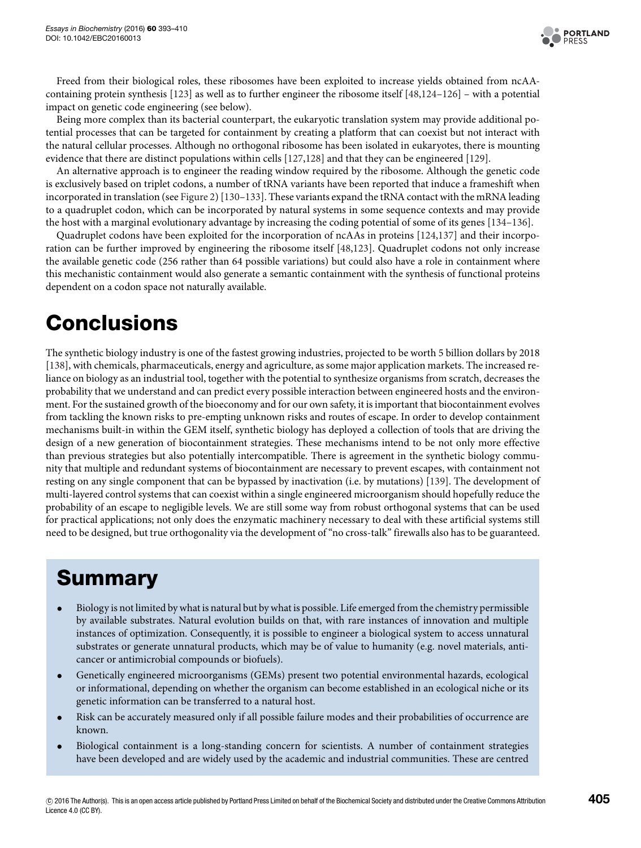

Freed from their biological roles, these ribosomes have been exploited to increase yields obtained from ncAAcontaining protein synthesis [\[123\]](#page-18-12) as well as to further engineer the ribosome itself [\[48,](#page-16-1)[124–](#page-18-13)[126\]](#page-18-14) – with a potential impact on genetic code engineering (see below).

Being more complex than its bacterial counterpart, the eukaryotic translation system may provide additional potential processes that can be targeted for containment by creating a platform that can coexist but not interact with the natural cellular processes. Although no orthogonal ribosome has been isolated in eukaryotes, there is mounting evidence that there are distinct populations within cells [\[127,](#page-18-15)[128\]](#page-18-16) and that they can be engineered [\[129\]](#page-18-17).

An alternative approach is to engineer the reading window required by the ribosome. Although the genetic code is exclusively based on triplet codons, a number of tRNA variants have been reported that induce a frameshift when incorporated in translation (see [Figure 2\)](#page-5-0) [\[130–](#page-18-18)[133\]](#page-18-19). These variants expand the tRNA contact with the mRNA leading to a quadruplet codon, which can be incorporated by natural systems in some sequence contexts and may provide the host with a marginal evolutionary advantage by increasing the coding potential of some of its genes [\[134–](#page-18-20)[136\]](#page-18-21).

Quadruplet codons have been exploited for the incorporation of ncAAs in proteins [\[124](#page-18-13)[,137\]](#page-18-22) and their incorporation can be further improved by engineering the ribosome itself [\[48](#page-16-1)[,123\]](#page-18-12). Quadruplet codons not only increase the available genetic code (256 rather than 64 possible variations) but could also have a role in containment where this mechanistic containment would also generate a semantic containment with the synthesis of functional proteins dependent on a codon space not naturally available.

## **Conclusions**

The synthetic biology industry is one of the fastest growing industries, projected to be worth 5 billion dollars by 2018 [\[138\]](#page-18-23), with chemicals, pharmaceuticals, energy and agriculture, as some major application markets. The increased reliance on biology as an industrial tool, together with the potential to synthesize organisms from scratch, decreases the probability that we understand and can predict every possible interaction between engineered hosts and the environment. For the sustained growth of the bioeconomy and for our own safety, it is important that biocontainment evolves from tackling the known risks to pre-empting unknown risks and routes of escape. In order to develop containment mechanisms built-in within the GEM itself, synthetic biology has deployed a collection of tools that are driving the design of a new generation of biocontainment strategies. These mechanisms intend to be not only more effective than previous strategies but also potentially intercompatible. There is agreement in the synthetic biology community that multiple and redundant systems of biocontainment are necessary to prevent escapes, with containment not resting on any single component that can be bypassed by inactivation (i.e. by mutations) [\[139\]](#page-18-24). The development of multi-layered control systems that can coexist within a single engineered microorganism should hopefully reduce the probability of an escape to negligible levels. We are still some way from robust orthogonal systems that can be used for practical applications; not only does the enzymatic machinery necessary to deal with these artificial systems still need to be designed, but true orthogonality via the development of "no cross-talk" firewalls also has to be guaranteed.

### **Summary**

- Biology is not limited by what is natural but by what is possible. Life emerged from the chemistry permissible by available substrates. Natural evolution builds on that, with rare instances of innovation and multiple instances of optimization. Consequently, it is possible to engineer a biological system to access unnatural substrates or generate unnatural products, which may be of value to humanity (e.g. novel materials, anticancer or antimicrobial compounds or biofuels).
- Genetically engineered microorganisms (GEMs) present two potential environmental hazards, ecological or informational, depending on whether the organism can become established in an ecological niche or its genetic information can be transferred to a natural host.
- Risk can be accurately measured only if all possible failure modes and their probabilities of occurrence are known.
- Biological containment is a long-standing concern for scientists. A number of containment strategies have been developed and are widely used by the academic and industrial communities. These are centred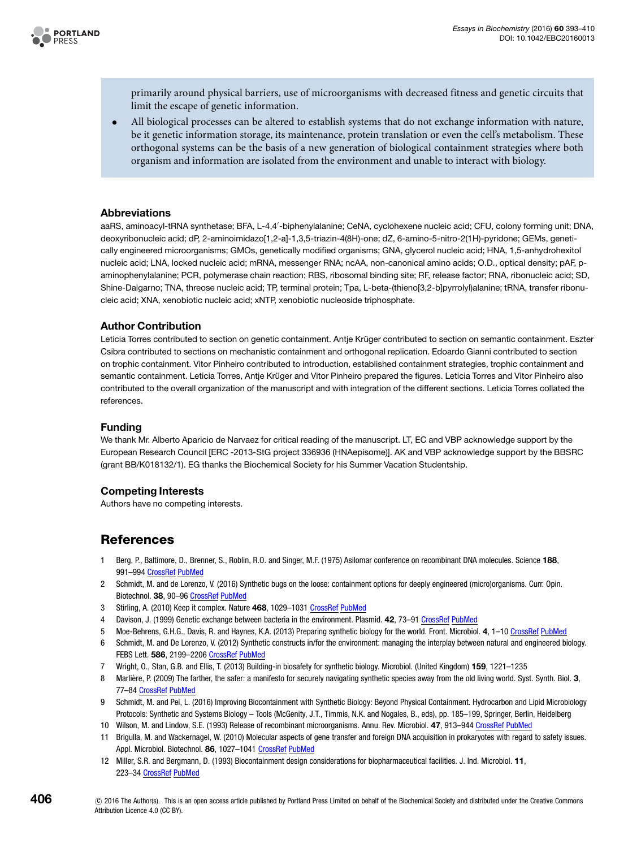

primarily around physical barriers, use of microorganisms with decreased fitness and genetic circuits that limit the escape of genetic information.

• All biological processes can be altered to establish systems that do not exchange information with nature, be it genetic information storage, its maintenance, protein translation or even the cell's metabolism. These orthogonal systems can be the basis of a new generation of biological containment strategies where both organism and information are isolated from the environment and unable to interact with biology.

#### **Abbreviations**

aaRS, aminoacyl-tRNA synthetase; BFA, L-4,4′-biphenylalanine; CeNA, cyclohexene nucleic acid; CFU, colony forming unit; DNA, deoxyribonucleic acid; dP, 2-aminoimidazo[1,2-a]-1,3,5-triazin-4(8H)-one; dZ, 6-amino-5-nitro-2(1H)-pyridone; GEMs, genetically engineered microorganisms; GMOs, genetically modified organisms; GNA, glycerol nucleic acid; HNA, 1,5-anhydrohexitol nucleic acid; LNA, locked nucleic acid; mRNA, messenger RNA; ncAA, non-canonical amino acids; O.D., optical density; pAF, paminophenylalanine; PCR, polymerase chain reaction; RBS, ribosomal binding site; RF, release factor; RNA, ribonucleic acid; SD, Shine-Dalgarno; TNA, threose nucleic acid; TP, terminal protein; Tpa, L-beta-(thieno[3,2-b]pyrrolyl)alanine; tRNA, transfer ribonucleic acid; XNA, xenobiotic nucleic acid; xNTP, xenobiotic nucleoside triphosphate.

#### **Author Contribution**

Leticia Torres contributed to section on genetic containment. Antje Krüger contributed to section on semantic containment. Eszter Csibra contributed to sections on mechanistic containment and orthogonal replication. Edoardo Gianni contributed to section on trophic containment. Vitor Pinheiro contributed to introduction, established containment strategies, trophic containment and semantic containment. Leticia Torres, Antje Krüger and Vitor Pinheiro prepared the figures. Leticia Torres and Vitor Pinheiro also contributed to the overall organization of the manuscript and with integration of the different sections. Leticia Torres collated the references.

#### **Funding**

We thank Mr. Alberto Aparicio de Narvaez for critical reading of the manuscript. LT, EC and VBP acknowledge support by the European Research Council [ERC -2013-StG project 336936 (HNAepisome)]. AK and VBP acknowledge support by the BBSRC (grant BB/K018132/1). EG thanks the Biochemical Society for his Summer Vacation Studentship.

#### **Competing Interests**

Authors have no competing interests.

#### **References**

- <span id="page-14-0"></span>1 Berg, P., Baltimore, D., Brenner, S., Roblin, R.O. and Singer, M.F. (1975) Asilomar conference on recombinant DNA molecules. Science **188**, 991–994 [CrossRef](http://dx.doi.org/10.1126/science.1056638) [PubMed](http://www.ncbi.nlm.nih.gov/pubmed/1056638)
- <span id="page-14-1"></span>2 Schmidt, M. and de Lorenzo, V. (2016) Synthetic bugs on the loose: containment options for deeply engineered (micro)organisms. Curr. Opin. Biotechnol. **38**, 90–96 [CrossRef](http://dx.doi.org/10.1016/j.copbio.2016.01.006) [PubMed](http://www.ncbi.nlm.nih.gov/pubmed/26874261)
- <span id="page-14-2"></span>3 Stirling, A. (2010) Keep it complex. Nature **468**, 1029–1031 [CrossRef](http://dx.doi.org/10.1038/4681029a) [PubMed](http://www.ncbi.nlm.nih.gov/pubmed/21179144)
- <span id="page-14-3"></span>4 Davison, J. (1999) Genetic exchange between bacteria in the environment. Plasmid. **42**, 73–91 [CrossRef](http://dx.doi.org/10.1006/plas.1999.1421) [PubMed](http://www.ncbi.nlm.nih.gov/pubmed/10489325)
- <span id="page-14-4"></span>5 Moe-Behrens, G.H.G., Davis, R. and Haynes, K.A. (2013) Preparing synthetic biology for the world. Front. Microbiol. **4**, 1–10 [CrossRef](http://dx.doi.org/10.3389/fmicb.2013.00005) [PubMed](http://www.ncbi.nlm.nih.gov/pubmed/23346082)
- 6 Schmidt, M. and De Lorenzo, V. (2012) Synthetic constructs in/for the environment: managing the interplay between natural and engineered biology. FEBS Lett. **586**, 2199–2206 [CrossRef](http://dx.doi.org/10.1016/j.febslet.2012.02.022) [PubMed](http://www.ncbi.nlm.nih.gov/pubmed/22710182)
- 7 Wright, O., Stan, G.B. and Ellis, T. (2013) Building-in biosafety for synthetic biology. Microbiol. (United Kingdom) **159**, 1221–1235
- 8 Marliere, P. (2009) The farther, the safer: a manifesto for securely navigating synthetic species away from the old living world. Syst. Synth. Biol. ` **3**, 77–84 [CrossRef](http://dx.doi.org/10.1007/s11693-009-9040-9) [PubMed](http://www.ncbi.nlm.nih.gov/pubmed/19816802)
- <span id="page-14-5"></span>9 Schmidt, M. and Pei, L. (2016) Improving Biocontainment with Synthetic Biology: Beyond Physical Containment. Hydrocarbon and Lipid Microbiology Protocols: Synthetic and Systems Biology – Tools (McGenity, J.T., Timmis, N.K. and Nogales, B., eds), pp. 185–199, Springer, Berlin, Heidelberg
- <span id="page-14-6"></span>10 Wilson, M. and Lindow, S.E. (1993) Release of recombinant microorganisms. Annu. Rev. Microbiol. **47**, 913–944 [CrossRef](http://dx.doi.org/10.1146/annurev.mi.47.100193.004405) [PubMed](http://www.ncbi.nlm.nih.gov/pubmed/8257120)
- <span id="page-14-7"></span>11 Brigulla, M. and Wackernagel, W. (2010) Molecular aspects of gene transfer and foreign DNA acquisition in prokaryotes with regard to safety issues. Appl. Microbiol. Biotechnol. **86**, 1027–1041 [CrossRef](http://dx.doi.org/10.1007/s00253-010-2489-3) [PubMed](http://www.ncbi.nlm.nih.gov/pubmed/20191269)
- <span id="page-14-8"></span>12 Miller, S.R. and Bergmann, D. (1993) Biocontainment design considerations for biopharmaceutical facilities. J. Ind. Microbiol. **11**, 223-34 [CrossRef](http://dx.doi.org/10.1007/BF01569595) [PubMed](http://www.ncbi.nlm.nih.gov/pubmed/7763894)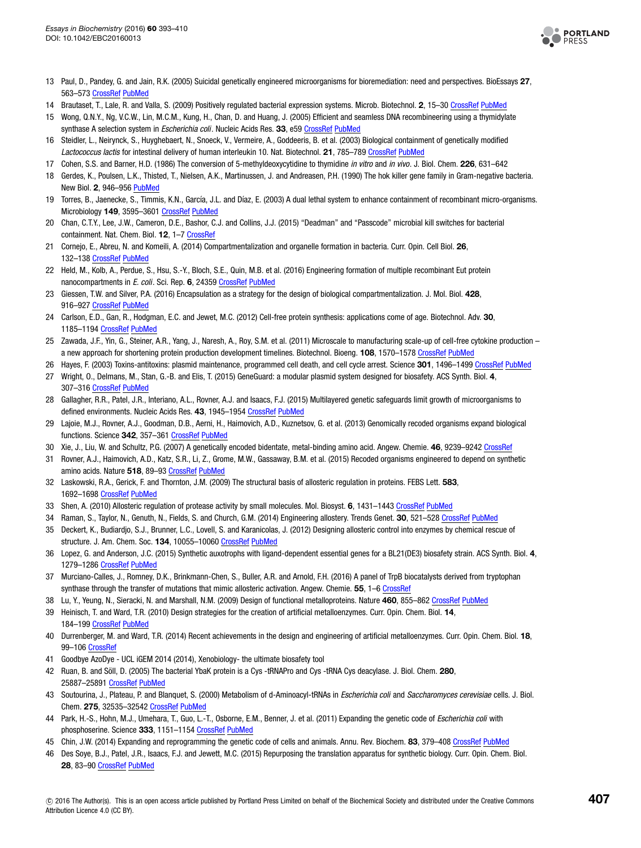

- <span id="page-15-4"></span>13 Paul, D., Pandey, G. and Jain, R.K. (2005) Suicidal genetically engineered microorganisms for bioremediation: need and perspectives. BioEssays **27**, 563–573 [CrossRef](http://dx.doi.org/10.1002/bies.20220) [PubMed](http://www.ncbi.nlm.nih.gov/pubmed/15832375)
- <span id="page-15-5"></span>14 Brautaset, T., Lale, R. and Valla, S. (2009) Positively regulated bacterial expression systems. Microb. Biotechnol. **2**, 15–30 [CrossRef](http://dx.doi.org/10.1111/j.1751-7915.2008.00048.x) [PubMed](http://www.ncbi.nlm.nih.gov/pubmed/21261879)
- <span id="page-15-6"></span>15 Wong, Q.N.Y., Ng, V.C.W., Lin, M.C.M., Kung, H., Chan, D. and Huang, J. (2005) Efficient and seamless DNA recombineering using a thymidylate synthase A selection system in Escherichia coli. Nucleic Acids Res. **33**, e59 [CrossRef](http://dx.doi.org/10.1093/nar/gni059) [PubMed](http://www.ncbi.nlm.nih.gov/pubmed/15800210)
- 16 Steidler, L., Neirynck, S., Huyghebaert, N., Snoeck, V., Vermeire, A., Goddeeris, B. et al. (2003) Biological containment of genetically modified Lactococcus lactis for intestinal delivery of human interleukin 10. Nat. Biotechnol. **21**, 785–789 [CrossRef](http://dx.doi.org/10.1038/nbt840) [PubMed](http://www.ncbi.nlm.nih.gov/pubmed/12808464)
- <span id="page-15-7"></span>17 Cohen, S.S. and Barner, H.D. (1986) The conversion of 5-methyldeoxycytidine to thymidine in vitro and in vivo. J. Biol. Chem. **226**, 631–642
- <span id="page-15-8"></span>18 Gerdes, K., Poulsen, L.K., Thisted, T., Nielsen, A.K., Martinussen, J. and Andreasen, P.H. (1990) The hok killer gene family in Gram-negative bacteria. New Biol. **2**, 946–956 [PubMed](http://www.ncbi.nlm.nih.gov/pubmed/2101633)
- <span id="page-15-9"></span>19 Torres, B., Jaenecke, S., Timmis, K.N., García, J.L. and Díaz, E. (2003) A dual lethal system to enhance containment of recombinant micro-organisms. Microbiology 149, 3595-3601 [CrossRef](http://dx.doi.org/10.1099/mic.0.26618-0) [PubMed](http://www.ncbi.nlm.nih.gov/pubmed/14663091)
- <span id="page-15-10"></span>20 Chan, C.T.Y., Lee, J.W., Cameron, D.E., Bashor, C.J. and Collins, J.J. (2015) "Deadman" and "Passcode" microbial kill switches for bacterial containment. Nat. Chem. Biol. **12**, 1–7 [CrossRef](http://dx.doi.org/10.1038/nchembio.1979)
- <span id="page-15-0"></span>21 Cornejo, E., Abreu, N. and Komeili, A. (2014) Compartmentalization and organelle formation in bacteria. Curr. Opin. Cell Biol. **26**, 132–138 [CrossRef](http://dx.doi.org/10.1016/j.ceb.2013.12.007) [PubMed](http://www.ncbi.nlm.nih.gov/pubmed/24440431)
- 22 Held, M., Kolb, A., Perdue, S., Hsu, S.-Y., Bloch, S.E., Quin, M.B. et al. (2016) Engineering formation of multiple recombinant Eut protein nanocompartments in E. coli. Sci. Rep. **6**, 24359 [CrossRef](http://dx.doi.org/10.1038/srep24359) [PubMed](http://www.ncbi.nlm.nih.gov/pubmed/27063436)
- <span id="page-15-1"></span>23 Giessen, T.W. and Silver, P.A. (2016) Encapsulation as a strategy for the design of biological compartmentalization. J. Mol. Biol. **428**, 916–927 [CrossRef](http://dx.doi.org/10.1016/j.jmb.2015.09.009) [PubMed](http://www.ncbi.nlm.nih.gov/pubmed/26403362)
- <span id="page-15-2"></span>24 Carlson, E.D., Gan, R., Hodgman, E.C. and Jewet, M.C. (2012) Cell-free protein synthesis: applications come of age. Biotechnol. Adv. **30**, 1185-1194 [CrossRef](http://dx.doi.org/10.1016/j.biotechadv.2011.09.016) [PubMed](http://www.ncbi.nlm.nih.gov/pubmed/22008973)
- <span id="page-15-3"></span>25 Zawada, J.F., Yin, G., Steiner, A.R., Yang, J., Naresh, A., Roy, S.M. et al. (2011) Microscale to manufacturing scale-up of cell-free cytokine production – a new approach for shortening protein production development timelines. Biotechnol. Bioeng. **108**, 1570–1578 [CrossRef](http://dx.doi.org/10.1002/bit.23103) [PubMed](http://www.ncbi.nlm.nih.gov/pubmed/21337337)
- <span id="page-15-11"></span>26 Hayes, F. (2003) Toxins-antitoxins: plasmid maintenance, programmed cell death, and cell cycle arrest. Science **301**, 1496–1499 [CrossRef](http://dx.doi.org/10.1126/science.1088157) [PubMed](http://www.ncbi.nlm.nih.gov/pubmed/12970556)
- <span id="page-15-12"></span>27 Wright, O., Delmans, M., Stan, G.-B. and Elis, T. (2015) GeneGuard: a modular plasmid system designed for biosafety. ACS Synth. Biol. **4**, 307–316 [CrossRef](http://dx.doi.org/10.1021/sb500234s) [PubMed](http://www.ncbi.nlm.nih.gov/pubmed/24847673)
- <span id="page-15-13"></span>28 Gallagher, R.R., Patel, J.R., Interiano, A.L., Rovner, A.J. and Isaacs, F.J. (2015) Multilayered genetic safeguards limit growth of microorganisms to defined environments. Nucleic Acids Res. **43**, 1945–1954 [CrossRef](http://dx.doi.org/10.1093/nar/gku1378) [PubMed](http://www.ncbi.nlm.nih.gov/pubmed/25567985)
- <span id="page-15-14"></span>29 Lajoie, M.J., Rovner, A.J., Goodman, D.B., Aerni, H., Haimovich, A.D., Kuznetsov, G. et al. (2013) Genomically recoded organisms expand biological functions. Science **342**, 357–361 [CrossRef](http://dx.doi.org/10.1126/science.1241459) [PubMed](http://www.ncbi.nlm.nih.gov/pubmed/24136966)
- <span id="page-15-15"></span>30 Xie, J., Liu, W. and Schultz, P.G. (2007) A genetically encoded bidentate, metal-binding amino acid. Angew. Chemie. **46**, 9239–9242 [CrossRef](http://dx.doi.org/10.1002/anie.200703397)
- <span id="page-15-16"></span>31 Rovner, A.J., Haimovich, A.D., Katz, S.R., Li, Z., Grome, M.W., Gassaway, B.M. et al. (2015) Recoded organisms engineered to depend on synthetic amino acids. Nature **518**, 89–93 [CrossRef](http://dx.doi.org/10.1038/nature14095) [PubMed](http://www.ncbi.nlm.nih.gov/pubmed/25607356)
- <span id="page-15-17"></span>32 Laskowski, R.A., Gerick, F. and Thornton, J.M. (2009) The structural basis of allosteric regulation in proteins. FEBS Lett. **583**, 1692–1698 [CrossRef](http://dx.doi.org/10.1016/j.febslet.2009.03.019) [PubMed](http://www.ncbi.nlm.nih.gov/pubmed/19303011)
- <span id="page-15-18"></span>33 Shen, A. (2010) Allosteric regulation of protease activity by small molecules. Mol. Biosyst. **6**, 1431–1443 [CrossRef](http://dx.doi.org/10.1039/c003913f) [PubMed](http://www.ncbi.nlm.nih.gov/pubmed/20539873)
- <span id="page-15-19"></span>34 Raman, S., Taylor, N., Genuth, N., Fields, S. and Church, G.M. (2014) Engineering allostery. Trends Genet. **30**, 521–528 [CrossRef](http://dx.doi.org/10.1016/j.tig.2014.09.004) [PubMed](http://www.ncbi.nlm.nih.gov/pubmed/25306102)
- <span id="page-15-20"></span>35 Deckert, K., Budiardjo, S.J., Brunner, L.C., Lovell, S. and Karanicolas, J. (2012) Designing allosteric control into enzymes by chemical rescue of structure. J. Am. Chem. Soc. **134**, 10055–10060 [CrossRef](http://dx.doi.org/10.1021/ja301409g) [PubMed](http://www.ncbi.nlm.nih.gov/pubmed/22655749)
- <span id="page-15-21"></span>36 Lopez, G. and Anderson, J.C. (2015) Synthetic auxotrophs with ligand-dependent essential genes for a BL21(DE3) biosafety strain. ACS Synth. Biol. **4**, 1279–1286 [CrossRef](http://dx.doi.org/10.1021/acssynbio.5b00085) [PubMed](http://www.ncbi.nlm.nih.gov/pubmed/26072987)
- <span id="page-15-22"></span>37 Murciano-Calles, J., Romney, D.K., Brinkmann-Chen, S., Buller, A.R. and Arnold, F.H. (2016) A panel of TrpB biocatalysts derived from tryptophan synthase through the transfer of mutations that mimic allosteric activation. Angew. Chemie. **55**, 1–6 [CrossRef](http://dx.doi.org/10.1002/anie.201606242)
- <span id="page-15-23"></span>38 Lu, Y., Yeung, N., Sieracki, N. and Marshall, N.M. (2009) Design of functional metalloproteins. Nature **460**, 855–862 [CrossRef](http://dx.doi.org/10.1038/nature08304) [PubMed](http://www.ncbi.nlm.nih.gov/pubmed/19675646)
- 39 Heinisch, T. and Ward, T.R. (2010) Design strategies for the creation of artificial metalloenzymes. Curr. Opin. Chem. Biol. **14**, 184–199 [CrossRef](http://dx.doi.org/10.1016/j.cbpa.2009.11.026) [PubMed](http://www.ncbi.nlm.nih.gov/pubmed/20071213)
- <span id="page-15-24"></span>40 Durrenberger, M. and Ward, T.R. (2014) Recent achievements in the design and engineering of artificial metalloenzymes. Curr. Opin. Chem. Biol. **18**, 99–106 [CrossRef](http://dx.doi.org/10.1016/j.cbpa.2014.01.018)
- <span id="page-15-25"></span>41 Goodbye AzoDye - UCL iGEM 2014 (2014), Xenobiology- the ultimate biosafety tool
- <span id="page-15-26"></span>42 Ruan, B. and Söll, D. (2005) The bacterial YbaK protein is a Cys -tRNAPro and Cys -tRNA Cys deacylase. J. Biol. Chem. 280, 25887–25891 [CrossRef](http://dx.doi.org/10.1074/jbc.M502174200) [PubMed](http://www.ncbi.nlm.nih.gov/pubmed/15886196)
- 43 Soutourina, J., Plateau, P. and Blanquet, S. (2000) Metabolism of d-Aminoacyl-tRNAs in Escherichia coli and Saccharomyces cerevisiae cells. J. Biol. Chem. **275**, 32535–32542 [CrossRef](http://dx.doi.org/10.1074/jbc.M005166200) [PubMed](http://www.ncbi.nlm.nih.gov/pubmed/10918062)
- 44 Park, H.-S., Hohn, M.J., Umehara, T., Guo, L.-T., Osborne, E.M., Benner, J. et al. (2011) Expanding the genetic code of Escherichia coli with phosphoserine. Science **333**, 1151–1154 [CrossRef](http://dx.doi.org/10.1126/science.1207203) [PubMed](http://www.ncbi.nlm.nih.gov/pubmed/21868676)
- <span id="page-15-27"></span>45 Chin, J.W. (2014) Expanding and reprogramming the genetic code of cells and animals. Annu. Rev. Biochem. **83**, 379–408 [CrossRef](http://dx.doi.org/10.1146/annurev-biochem-060713-035737) [PubMed](http://www.ncbi.nlm.nih.gov/pubmed/24555827)
- 46 Des Soye, B.J., Patel, J.R., Isaacs, F.J. and Jewett, M.C. (2015) Repurposing the translation apparatus for synthetic biology. Curr. Opin. Chem. Biol. **28**, 83–90 [CrossRef](http://dx.doi.org/10.1016/j.cbpa.2015.06.008) [PubMed](http://www.ncbi.nlm.nih.gov/pubmed/26186264)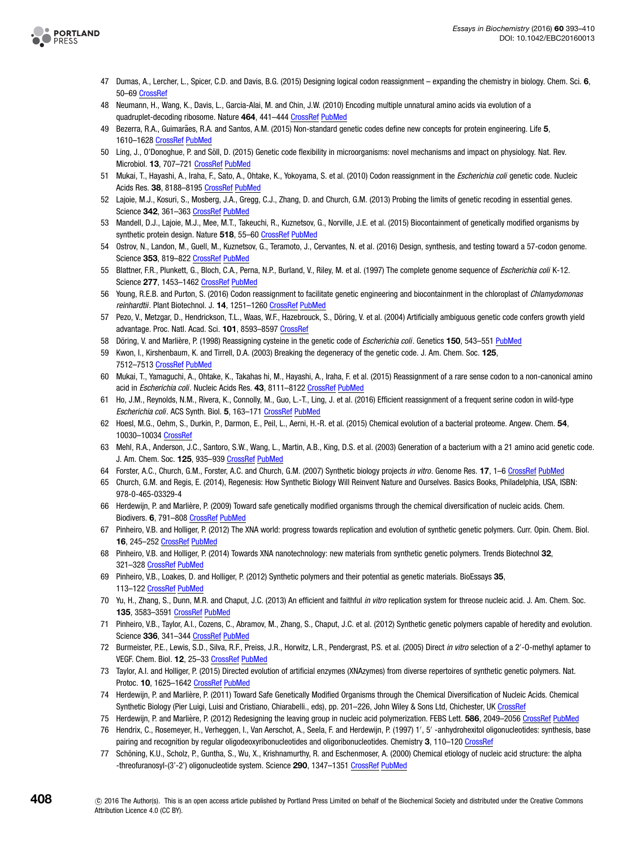

- <span id="page-16-0"></span>47 Dumas, A., Lercher, L., Spicer, C.D. and Davis, B.G. (2015) Designing logical codon reassignment – expanding the chemistry in biology. Chem. Sci. **6**, 50–69 [CrossRef](http://dx.doi.org/10.1039/C4SC01534G)
- <span id="page-16-1"></span>48 Neumann, H., Wang, K., Davis, L., Garcia-Alai, M. and Chin, J.W. (2010) Encoding multiple unnatural amino acids via evolution of a quadruplet-decoding ribosome. Nature **464**, 441–444 [CrossRef](http://dx.doi.org/10.1038/nature08817) [PubMed](http://www.ncbi.nlm.nih.gov/pubmed/20154731)
- <span id="page-16-2"></span>49 Bezerra, R.A., Guimarães, R.A. and Santos, A.M. (2015) Non-standard genetic codes define new concepts for protein engineering. Life 5, 1610–1628 [CrossRef](http://dx.doi.org/10.3390/life5041610) [PubMed](http://www.ncbi.nlm.nih.gov/pubmed/26569314)
- <span id="page-16-3"></span>50 Ling, J., O'Donoghue, P. and Soll, D. (2015) Genetic code flexibility in microorganisms: novel mechanisms and impact on physiology. Nat. Rev. ¨ Microbiol. **13**, 707–721 [CrossRef](http://dx.doi.org/10.1038/nrmicro3568) [PubMed](http://www.ncbi.nlm.nih.gov/pubmed/26411296)
- <span id="page-16-4"></span>51 Mukai, T., Hayashi, A., Iraha, F., Sato, A., Ohtake, K., Yokoyama, S. et al. (2010) Codon reassignment in the Escherichia coli genetic code. Nucleic Acids Res. **38**, 8188–8195 [CrossRef](http://dx.doi.org/10.1093/nar/gkq707) [PubMed](http://www.ncbi.nlm.nih.gov/pubmed/20702426)
- <span id="page-16-5"></span>52 Lajoie, M.J., Kosuri, S., Mosberg, J.A., Gregg, C.J., Zhang, D. and Church, G.M. (2013) Probing the limits of genetic recoding in essential genes. Science **342**, 361–363 [CrossRef](http://dx.doi.org/10.1126/science.1241460) [PubMed](http://www.ncbi.nlm.nih.gov/pubmed/24136967)
- <span id="page-16-6"></span>53 Mandell, D.J., Lajoie, M.J., Mee, M.T., Takeuchi, R., Kuznetsov, G., Norville, J.E. et al. (2015) Biocontainment of genetically modified organisms by synthetic protein design. Nature **518**, 55–60 [CrossRef](http://dx.doi.org/10.1038/nature14121) [PubMed](http://www.ncbi.nlm.nih.gov/pubmed/25607366)
- <span id="page-16-7"></span>54 Ostrov, N., Landon, M., Guell, M., Kuznetsov, G., Teramoto, J., Cervantes, N. et al. (2016) Design, synthesis, and testing toward a 57-codon genome. Science **353**, 819–822 [CrossRef](http://dx.doi.org/10.1126/science.aaf3639) [PubMed](http://www.ncbi.nlm.nih.gov/pubmed/27540174)
- <span id="page-16-8"></span>55 Blattner, F.R., Plunkett, G., Bloch, C.A., Perna, N.P., Burland, V., Riley, M. et al. (1997) The complete genome sequence of Escherichia coli K-12. Science **277**, 1453–1462 [CrossRef](http://dx.doi.org/10.1126/science.277.5331.1453) [PubMed](http://www.ncbi.nlm.nih.gov/pubmed/9278503)
- <span id="page-16-9"></span>56 Young, R.E.B. and Purton, S. (2016) Codon reassignment to facilitate genetic engineering and biocontainment in the chloroplast of Chlamydomonas reinhardtii. Plant Biotechnol. J. **14**, 1251–1260 [CrossRef](http://dx.doi.org/10.1111/pbi.12490) [PubMed](http://www.ncbi.nlm.nih.gov/pubmed/26471875)
- <span id="page-16-10"></span>57 Pezo, V., Metzgar, D., Hendrickson, T.L., Waas, W.F., Hazebrouck, S., Doring, V. et al. (2004) Artificially ambiguous genetic code confers growth yield ¨ advantage. Proc. Natl. Acad. Sci. **101**, 8593–8597 [CrossRef](http://dx.doi.org/10.1073/pnas.0402893101)
- <span id="page-16-11"></span>58 Döring, V. and Marlière, P. (1998) Reassigning cysteine in the genetic code of *Escherichia coli*. Genetics 150, 543–551 [PubMed](http://www.ncbi.nlm.nih.gov/pubmed/9755188)
- <span id="page-16-12"></span>59 Kwon, I., Kirshenbaum, K. and Tirrell, D.A. (2003) Breaking the degeneracy of the genetic code. J. Am. Chem. Soc. **125**, 7512–7513 [CrossRef](http://dx.doi.org/10.1021/ja0350076) [PubMed](http://www.ncbi.nlm.nih.gov/pubmed/12812480)
- <span id="page-16-13"></span>60 Mukai, T., Yamaguchi, A., Ohtake, K., Takahas hi, M., Hayashi, A., Iraha, F. et al. (2015) Reassignment of a rare sense codon to a non-canonical amino acid in Escherichia coli. Nucleic Acids Res. **43**, 8111–8122 [CrossRef](http://dx.doi.org/10.1093/nar/gkv787) [PubMed](http://www.ncbi.nlm.nih.gov/pubmed/26240376)
- <span id="page-16-14"></span>61 Ho, J.M., Reynolds, N.M., Rivera, K., Connolly, M., Guo, L.-T., Ling, J. et al. (2016) Efficient reassignment of a frequent serine codon in wild-type Escherichia coli. ACS Synth. Biol. **5**, 163–171 [CrossRef](http://dx.doi.org/10.1021/acssynbio.5b00197) [PubMed](http://www.ncbi.nlm.nih.gov/pubmed/26544153)
- <span id="page-16-15"></span>62 Hoesl, M.G., Oehm, S., Durkin, P., Darmon, E., Peil, L., Aerni, H.-R. et al. (2015) Chemical evolution of a bacterial proteome. Angew. Chem. **54**, 10030–10034 [CrossRef](http://dx.doi.org/10.1002/anie.201502868)
- <span id="page-16-16"></span>63 Mehl, R.A., Anderson, J.C., Santoro, S.W., Wang, L., Martin, A.B., King, D.S. et al. (2003) Generation of a bacterium with a 21 amino acid genetic code. J. Am. Chem. Soc. **125**, 935–939 [CrossRef](http://dx.doi.org/10.1021/ja0284153) [PubMed](http://www.ncbi.nlm.nih.gov/pubmed/12537491)
- <span id="page-16-17"></span>64 Forster, A.C., Church, G.M., Forster, A.C. and Church, G.M. (2007) Synthetic biology projects in vitro. Genome Res. **17**, 1–6 [CrossRef](http://dx.doi.org/10.1101/gr.5776007) [PubMed](http://www.ncbi.nlm.nih.gov/pubmed/17151344)
- <span id="page-16-18"></span>65 Church, G.M. and Regis, E. (2014), Regenesis: How Synthetic Biology Will Reinvent Nature and Ourselves. Basics Books, Philadelphia, USA, ISBN: 978-0-465-03329-4
- <span id="page-16-19"></span>66 Herdewijn, P. and Marliere, P. (2009) Toward safe genetically modified organisms through the chemical diversification of nucleic acids. Chem. ` Biodivers. **6**, 791–808 [CrossRef](http://dx.doi.org/10.1002/cbdv.200900083) [PubMed](http://www.ncbi.nlm.nih.gov/pubmed/19554563)
- <span id="page-16-20"></span>67 Pinheiro, V.B. and Holliger, P. (2012) The XNA world: progress towards replication and evolution of synthetic genetic polymers. Curr. Opin. Chem. Biol. **16**, 245–252 [CrossRef](http://dx.doi.org/10.1016/j.cbpa.2012.05.198) [PubMed](http://www.ncbi.nlm.nih.gov/pubmed/22704981)
- 68 Pinheiro, V.B. and Holliger, P. (2014) Towards XNA nanotechnology: new materials from synthetic genetic polymers. Trends Biotechnol **32**, 321–328 [CrossRef](http://dx.doi.org/10.1016/j.tibtech.2014.03.010) [PubMed](http://www.ncbi.nlm.nih.gov/pubmed/24745974)
- <span id="page-16-21"></span>69 Pinheiro, V.B., Loakes, D. and Holliger, P. (2012) Synthetic polymers and their potential as genetic materials. BioEssays **35**, 113–122 [CrossRef](http://dx.doi.org/10.1002/bies.201200135) [PubMed](http://www.ncbi.nlm.nih.gov/pubmed/23281109)
- <span id="page-16-22"></span>70 Yu, H., Zhang, S., Dunn, M.R. and Chaput, J.C. (2013) An efficient and faithful in vitro replication system for threose nucleic acid. J. Am. Chem. Soc. **135**, 3583–3591 [CrossRef](http://dx.doi.org/10.1021/ja3118703) [PubMed](http://www.ncbi.nlm.nih.gov/pubmed/23432469)
- <span id="page-16-23"></span>71 Pinheiro, V.B., Taylor, A.I., Cozens, C., Abramov, M., Zhang, S., Chaput, J.C. et al. (2012) Synthetic genetic polymers capable of heredity and evolution. Science **336**, 341–344 [CrossRef](http://dx.doi.org/10.1126/science.1217622) [PubMed](http://www.ncbi.nlm.nih.gov/pubmed/22517858)
- 72 Burmeister, P.E., Lewis, S.D., Silva, R.F., Preiss, J.R., Horwitz, L.R., Pendergrast, P.S. et al. (2005) Direct *in vitro* selection of a 2'-0-methyl aptamer to VEGF. Chem. Biol. **12**, 25–33 [CrossRef](http://dx.doi.org/10.1016/j.chembiol.2004.10.017) [PubMed](http://www.ncbi.nlm.nih.gov/pubmed/15664512)
- <span id="page-16-24"></span>73 Taylor, A.I. and Holliger, P. (2015) Directed evolution of artificial enzymes (XNAzymes) from diverse repertoires of synthetic genetic polymers. Nat. Protoc. **10**, 1625–1642 [CrossRef](http://dx.doi.org/10.1038/nprot.2015.104) [PubMed](http://www.ncbi.nlm.nih.gov/pubmed/26401917)
- <span id="page-16-25"></span>74 Herdewijn, P. and Marliere, P. (2011) Toward Safe Genetically Modified Organisms through the Chemical Diversification of Nucleic Acids. Chemical ` Synthetic Biology (Pier Luigi, Luisi and Cristiano, Chiarabelli., eds), pp. 201-226, John Wiley & Sons Ltd, Chichester, UK [CrossRef](http://dx.doi.org/10.1002/9780470977873.ch9)
- <span id="page-16-26"></span>75 Herdewijn, P. and Marliere, P. (2012) Redesigning the leaving group in nucleic acid polymerization. FEBS Lett. ` **586**, 2049–2056 [CrossRef](http://dx.doi.org/10.1016/j.febslet.2012.02.033) [PubMed](http://www.ncbi.nlm.nih.gov/pubmed/22710178)
- <span id="page-16-27"></span>76 Hendrix, C., Rosemeyer, H., Verheggen, I., Van Aerschot, A., Seela, F. and Herdewijn, P. (1997) 1′, 5′-anhydrohexitol oligonucleotides: synthesis, base pairing and recognition by regular oligodeoxyribonucleotides and oligoribonucleotides. Chemistry **3**, 110–120 [CrossRef](http://dx.doi.org/10.1002/chem.19970030118)
- <span id="page-16-28"></span>77 Schoning, K.U., Scholz, P., Guntha, S., Wu, X., Krishnamurthy, R. and Eschenmoser, A. (2000) Chemical etiology of nucleic acid structure: the alpha ¨ -threofuranosyl-(3'-2') oligonucleotide system. Science **290**, 1347–1351 [CrossRef](http://dx.doi.org/10.1126/science.290.5495.1347) [PubMed](http://www.ncbi.nlm.nih.gov/pubmed/11082060)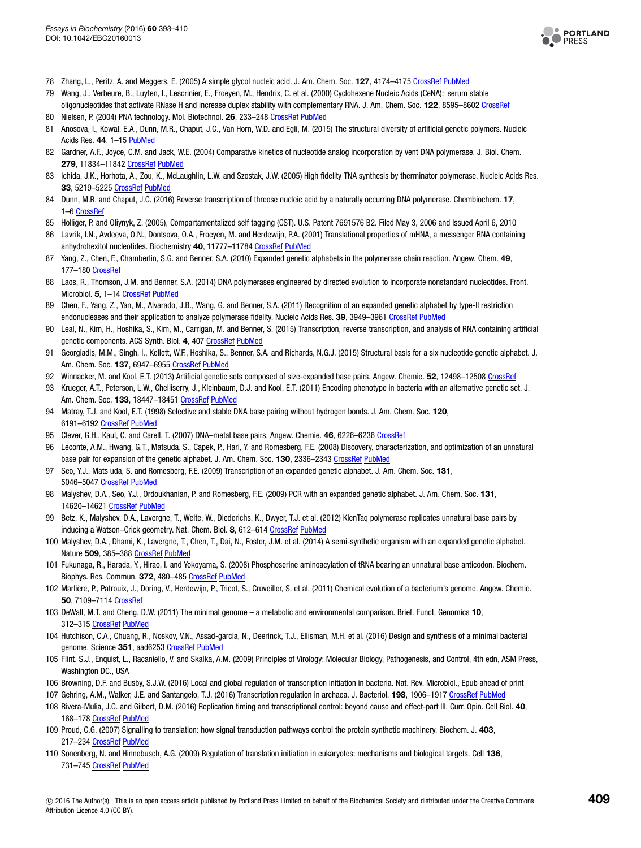

- <span id="page-17-0"></span>78 Zhang, L., Peritz, A. and Meggers, E. (2005) A simple glycol nucleic acid. J. Am. Chem. Soc. **127**, 4174–4175 [CrossRef](http://dx.doi.org/10.1021/ja042564z) [PubMed](http://www.ncbi.nlm.nih.gov/pubmed/15783191)
- <span id="page-17-1"></span>79 Wang, J., Verbeure, B., Luyten, I., Lescrinier, E., Froeyen, M., Hendrix, C. et al. (2000) Cyclohexene Nucleic Acids (CeNA): serum stable oligonucleotides that activate RNase H and increase duplex stability with complementary RNA. J. Am. Chem. Soc. **122**, 8595–8602 [CrossRef](http://dx.doi.org/10.1021/ja000018+)
- <span id="page-17-2"></span>80 Nielsen, P. (2004) PNA technology. Mol. Biotechnol. **26**, 233–248 [CrossRef](http://dx.doi.org/10.1385/MB:26:3:233) [PubMed](http://www.ncbi.nlm.nih.gov/pubmed/15004293)
- <span id="page-17-3"></span>81 Anosova, I., Kowal, E.A., Dunn, M.R., Chaput, J.C., Van Horn, W.D. and Egli, M. (2015) The structural diversity of artificial genetic polymers. Nucleic Acids Res. **44**, 1–15 [PubMed](http://www.ncbi.nlm.nih.gov/pubmed/26621913)
- <span id="page-17-4"></span>82 Gardner, A.F., Joyce, C.M. and Jack, W.E. (2004) Comparative kinetics of nucleotide analog incorporation by vent DNA polymerase. J. Biol. Chem. **279**, 11834–11842 [CrossRef](http://dx.doi.org/10.1074/jbc.M308286200) [PubMed](http://www.ncbi.nlm.nih.gov/pubmed/14699133)
- <span id="page-17-5"></span>83 Ichida, J.K., Horhota, A., Zou, K., McLaughlin, L.W. and Szostak, J.W. (2005) High fidelity TNA synthesis by therminator polymerase. Nucleic Acids Res. **33**, 5219–5225 [CrossRef](http://dx.doi.org/10.1093/nar/gki840) [PubMed](http://www.ncbi.nlm.nih.gov/pubmed/16157867)
- <span id="page-17-6"></span>84 Dunn, M.R. and Chaput, J.C. (2016) Reverse transcription of threose nucleic acid by a naturally occurring DNA polymerase. Chembiochem. **17**, 1–6 [CrossRef](http://dx.doi.org/10.1002/cbic.201600338)
- <span id="page-17-7"></span>85 Holliger, P. and Oliynyk, Z. (2005), Compartamentalized self tagging (CST). U.S. Patent 7691576 B2. Filed May 3, 2006 and Issued April 6, 2010
- <span id="page-17-8"></span>86 Lavrik, I.N., Avdeeva, O.N., Dontsova, O.A., Froeyen, M. and Herdewijn, P.A. (2001) Translational properties of mHNA, a messenger RNA containing anhydrohexitol nucleotides. Biochemistry **40**, 11777–11784 [CrossRef](http://dx.doi.org/10.1021/bi010836u) [PubMed](http://www.ncbi.nlm.nih.gov/pubmed/11570878)
- <span id="page-17-9"></span>87 Yang, Z., Chen, F., Chamberlin, S.G. and Benner, S.A. (2010) Expanded genetic alphabets in the polymerase chain reaction. Angew. Chem. **49**, 177–180 [CrossRef](http://dx.doi.org/10.1002/anie.200905173)
- <span id="page-17-10"></span>88 Laos, R., Thomson, J.M. and Benner, S.A. (2014) DNA polymerases engineered by directed evolution to incorporate nonstandard nucleotides. Front. Microbiol. **5**, 1–14 [CrossRef](http://dx.doi.org/10.3389/fmicb.2014.00565) [PubMed](http://www.ncbi.nlm.nih.gov/pubmed/24478763)
- <span id="page-17-11"></span>89 Chen, F., Yang, Z., Yan, M., Alvarado, J.B., Wang, G. and Benner, S.A. (2011) Recognition of an expanded genetic alphabet by type-II restriction endonucleases and their application to analyze polymerase fidelity. Nucleic Acids Res. **39**, 3949–3961 [CrossRef](http://dx.doi.org/10.1093/nar/gkq1274) [PubMed](http://www.ncbi.nlm.nih.gov/pubmed/21245035)
- <span id="page-17-12"></span>90 Leal, N., Kim, H., Hoshika, S., Kim, M., Carrigan, M. and Benner, S. (2015) Transcription, reverse transcription, and analysis of RNA containing artificial genetic components. ACS Synth. Biol. **4**, 407 [CrossRef](http://dx.doi.org/10.1021/sb500268n) [PubMed](http://www.ncbi.nlm.nih.gov/pubmed/25137127)
- <span id="page-17-13"></span>91 Georgiadis, M.M., Singh, I., Kellett, W.F., Hoshika, S., Benner, S.A. and Richards, N.G.J. (2015) Structural basis for a six nucleotide genetic alphabet. J. Am. Chem. Soc. **137**, 6947–6955 [CrossRef](http://dx.doi.org/10.1021/jacs.5b03482) [PubMed](http://www.ncbi.nlm.nih.gov/pubmed/25961938)
- <span id="page-17-14"></span>92 Winnacker, M. and Kool, E.T. (2013) Artificial genetic sets composed of size-expanded base pairs. Angew. Chemie. **52**, 12498–12508 [CrossRef](http://dx.doi.org/10.1002/anie.201305267)
- <span id="page-17-15"></span>93 Krueger, A.T., Peterson, L.W., Chelliserry, J., Kleinbaum, D.J. and Kool, E.T. (2011) Encoding phenotype in bacteria with an alternative genetic set. J. Am. Chem. Soc. **133**, 18447–18451 [CrossRef](http://dx.doi.org/10.1021/ja208025e) [PubMed](http://www.ncbi.nlm.nih.gov/pubmed/21981660)
- <span id="page-17-16"></span>94 Matray, T.J. and Kool, E.T. (1998) Selective and stable DNA base pairing without hydrogen bonds. J. Am. Chem. Soc. **120**, 6191–6192 [CrossRef](http://dx.doi.org/10.1021/ja9803310) [PubMed](http://www.ncbi.nlm.nih.gov/pubmed/20852721)
- <span id="page-17-17"></span>95 Clever, G.H., Kaul, C. and Carell, T. (2007) DNA–metal base pairs. Angew. Chemie. **46**, 6226–6236 [CrossRef](http://dx.doi.org/10.1002/anie.200701185)
- <span id="page-17-18"></span>96 Leconte, A.M., Hwang, G.T., Matsuda, S., Capek, P., Hari, Y. and Romesberg, F.E. (2008) Discovery, characterization, and optimization of an unnatural base pair for expansion of the genetic alphabet. J. Am. Chem. Soc. 130, 2336-2343 [CrossRef](http://dx.doi.org/10.1021/ja078223d) [PubMed](http://www.ncbi.nlm.nih.gov/pubmed/18217762)
- <span id="page-17-19"></span>97 Seo, Y.J., Mats uda, S. and Romesberg, F.E. (2009) Transcription of an expanded genetic alphabet. J. Am. Chem. Soc. **131**, 5046–5047 [CrossRef](http://dx.doi.org/10.1021/ja9006996) [PubMed](http://www.ncbi.nlm.nih.gov/pubmed/19351201)
- <span id="page-17-20"></span>98 Malyshev, D.A., Seo, Y.J., Ordoukhanian, P. and Romesberg, F.E. (2009) PCR with an expanded genetic alphabet. J. Am. Chem. Soc. **131**, 14620–14621 [CrossRef](http://dx.doi.org/10.1021/ja906186f) [PubMed](http://www.ncbi.nlm.nih.gov/pubmed/19788296)
- <span id="page-17-21"></span>99 Betz, K., Malyshev, D.A., Lavergne, T., Welte, W., Diederichs, K., Dwyer, T.J. et al. (2012) KlenTaq polymerase replicates unnatural base pairs by inducing a Watson–Crick geometry. Nat. Chem. Biol. **8**, 612–614 [CrossRef](http://dx.doi.org/10.1038/nchembio.966) [PubMed](http://www.ncbi.nlm.nih.gov/pubmed/22660438)
- <span id="page-17-22"></span>100 Malyshev, D.A., Dhami, K., Lavergne, T., Chen, T., Dai, N., Foster, J.M. et al. (2014) A semi-synthetic organism with an expanded genetic alphabet. Nature **509**, 385–388 [CrossRef](http://dx.doi.org/10.1038/nature13314) [PubMed](http://www.ncbi.nlm.nih.gov/pubmed/24805238)
- <span id="page-17-23"></span>101 Fukunaga, R., Harada, Y., Hirao, I. and Yokoyama, S. (2008) Phosphoserine aminoacylation of tRNA bearing an unnatural base anticodon. Biochem. Biophys. Res. Commun. **372**, 480–485 [CrossRef](http://dx.doi.org/10.1016/j.bbrc.2008.05.078) [PubMed](http://www.ncbi.nlm.nih.gov/pubmed/18503748)
- <span id="page-17-24"></span>102 Marliere, P., Patrouix, J., Doring, V., Herdewijn, P., Tricot, S., Cruveiller, S. et al. (2011) Chemical evolution of a bacterium's genome. Angew. Chemie. ` **50**, 7109–7114 [CrossRef](http://dx.doi.org/10.1002/anie.201100535)
- <span id="page-17-25"></span>103 DeWall, M.T. and Cheng, D.W. (2011) The minimal genome – a metabolic and environmental comparison. Brief. Funct. Genomics **10**, 312–315 [CrossRef](http://dx.doi.org/10.1093/bfgp/elr030) [PubMed](http://www.ncbi.nlm.nih.gov/pubmed/21987714)
- <span id="page-17-26"></span>104 Hutchison, C.A., Chuang, R., Noskov, V.N., Assad-garcia, N., Deerinck, T.J., Ellisman, M.H. et al. (2016) Design and synthesis of a minimal bacterial genome. Science **351**, aad6253 [CrossRef](http://dx.doi.org/10.1126/science.aad6253) [PubMed](http://www.ncbi.nlm.nih.gov/pubmed/27013737)
- <span id="page-17-27"></span>105 Flint, S.J., Enquist, L., Racaniello, V. and Skalka, A.M. (2009) Principles of Virology: Molecular Biology, Pathogenesis, and Control, 4th edn, ASM Press, Washington DC., USA
- <span id="page-17-28"></span>106 Browning, D.F. and Busby, S.J.W. (2016) Local and global regulation of transcription initiation in bacteria. Nat. Rev. Microbiol., Epub ahead of print
- 107 Gehring, A.M., Walker, J.E. and Santangelo, T.J. (2016) Transcription regulation in archaea. J. Bacteriol. **198**, 1906–1917 [CrossRef](http://dx.doi.org/10.1128/JB.00255-16) [PubMed](http://www.ncbi.nlm.nih.gov/pubmed/27137495)
- 108 Rivera-Mulia, J.C. and Gilbert, D.M. (2016) Replication timing and transcriptional control: beyond cause and effect-part III. Curr. Opin. Cell Biol. **40**, 168–178 [CrossRef](http://dx.doi.org/10.1016/j.ceb.2016.03.022) [PubMed](http://www.ncbi.nlm.nih.gov/pubmed/27115331)
- 109 Proud, C.G. (2007) Signalling to translation: how signal transduction pathways control the protein synthetic machinery. Biochem. J. **403**, 217-234 [CrossRef](http://dx.doi.org/10.1042/BJ20070024) [PubMed](http://www.ncbi.nlm.nih.gov/pubmed/17376031)
- <span id="page-17-29"></span>110 Sonenberg, N. and Hinnebusch, A.G. (2009) Regulation of translation initiation in eukaryotes: mechanisms and biological targets. Cell **136**, 731–745 [CrossRef](http://dx.doi.org/10.1016/j.cell.2009.01.042) [PubMed](http://www.ncbi.nlm.nih.gov/pubmed/19239892)